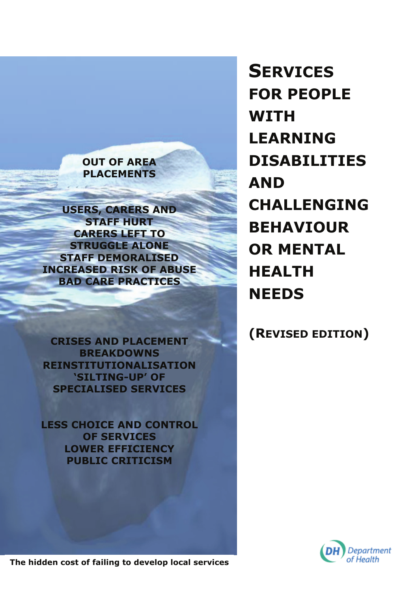#### **OUT OF AREA PLACEMENTS**

**USERS, CARERS AND STAFF HURT CARERS LEFT TO STRUGGLE ALONE STAFF DEMORALISED INCREASED RISK OF ABUSE BAD CARE PRACTICES** 

**CRISES AND PLACEMENT BREAKDOWNS REINSTITUTIONALISATION 'SILTING-UP' OF SPECIALISED SERVICES** 

**LESS CHOICE AND CONTROL OF SERVICES LOWER EFFICIENCY PUBLIC CRITICISM** 

**SERVICES FOR PEOPLE WITH LEARNING DISABILITIES AND CHALLENGING BEHAVIOUR OR MENTAL HEALTH NEEDS** 

# **(REVISED EDITION)**



**The hidden cost of failing to develop local services**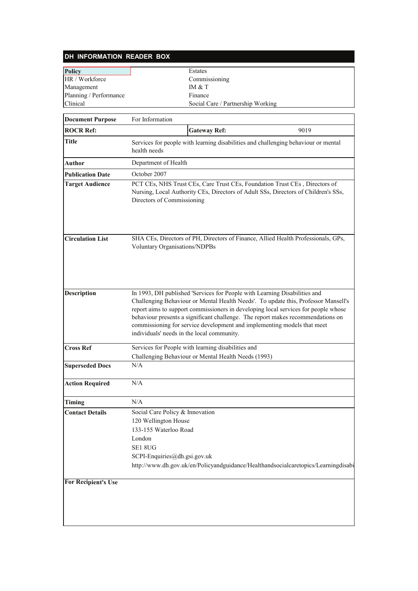| DH INFORMATION READER BOX  |                                                                                                                                                                                                                                                                                                                                                                                                                                                                   |  |
|----------------------------|-------------------------------------------------------------------------------------------------------------------------------------------------------------------------------------------------------------------------------------------------------------------------------------------------------------------------------------------------------------------------------------------------------------------------------------------------------------------|--|
| <b>Policy</b>              | Estates                                                                                                                                                                                                                                                                                                                                                                                                                                                           |  |
| HR / Workforce             | Commissioning                                                                                                                                                                                                                                                                                                                                                                                                                                                     |  |
| Management                 | IM & T                                                                                                                                                                                                                                                                                                                                                                                                                                                            |  |
| Planning / Performance     | Finance                                                                                                                                                                                                                                                                                                                                                                                                                                                           |  |
| Clinical                   | Social Care / Partnership Working                                                                                                                                                                                                                                                                                                                                                                                                                                 |  |
|                            | For Information                                                                                                                                                                                                                                                                                                                                                                                                                                                   |  |
| <b>Document Purpose</b>    |                                                                                                                                                                                                                                                                                                                                                                                                                                                                   |  |
| <b>ROCR Ref:</b>           | <b>Gateway Ref:</b><br>9019                                                                                                                                                                                                                                                                                                                                                                                                                                       |  |
| Title                      | Services for people with learning disabilities and challenging behaviour or mental<br>health needs                                                                                                                                                                                                                                                                                                                                                                |  |
| <b>Author</b>              | Department of Health                                                                                                                                                                                                                                                                                                                                                                                                                                              |  |
| <b>Publication Date</b>    | October 2007                                                                                                                                                                                                                                                                                                                                                                                                                                                      |  |
| <b>Target Audience</b>     | PCT CEs, NHS Trust CEs, Care Trust CEs, Foundation Trust CEs, Directors of<br>Nursing, Local Authority CEs, Directors of Adult SSs, Directors of Children's SSs,<br>Directors of Commissioning                                                                                                                                                                                                                                                                    |  |
| <b>Circulation List</b>    | SHA CEs, Directors of PH, Directors of Finance, Allied Health Professionals, GPs,<br>Voluntary Organisations/NDPBs                                                                                                                                                                                                                                                                                                                                                |  |
| <b>Description</b>         | In 1993, DH published 'Services for People with Learning Disabilities and<br>Challenging Behaviour or Mental Health Needs'. To update this, Professor Mansell's<br>report aims to support commissioners in developing local services for people whose<br>behaviour presents a significant challenge. The report makes recommendations on<br>commissioning for service development and implementing models that meet<br>individuals' needs in the local community. |  |
| <b>Cross Ref</b>           | Services for People with learning disabilities and<br>Challenging Behaviour or Mental Health Needs (1993)                                                                                                                                                                                                                                                                                                                                                         |  |
| <b>Superseded Docs</b>     | N/A                                                                                                                                                                                                                                                                                                                                                                                                                                                               |  |
| <b>Action Required</b>     | N/A                                                                                                                                                                                                                                                                                                                                                                                                                                                               |  |
| Timing                     | N/A                                                                                                                                                                                                                                                                                                                                                                                                                                                               |  |
| <b>Contact Details</b>     | Social Care Policy & Innovation<br>120 Wellington House<br>133-155 Waterloo Road<br>London<br>SE1 8UG<br>SCPI-Enquiries@dh.gsi.gov.uk<br>http://www.dh.gov.uk/en/Policyandguidance/Healthandsocialcaretopics/Learningdisabi                                                                                                                                                                                                                                       |  |
| <b>For Recipient's Use</b> |                                                                                                                                                                                                                                                                                                                                                                                                                                                                   |  |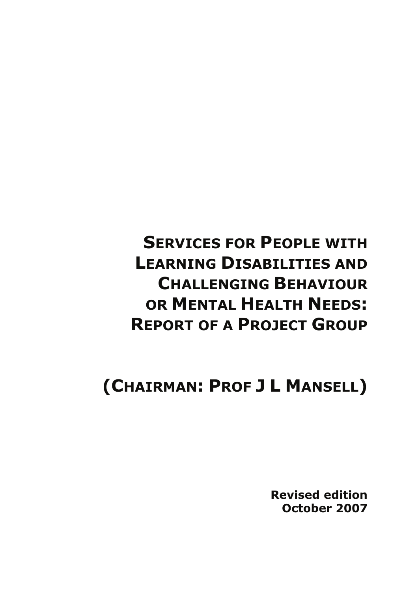# **SERVICES FOR PEOPLE WITH LEARNING DISABILITIES AND CHALLENGING BEHAVIOUR OR MENTAL HEALTH NEEDS: REPORT OF A PROJECT GROUP**

# **(CHAIRMAN: PROF J L MANSELL)**

**Revised edition October 2007**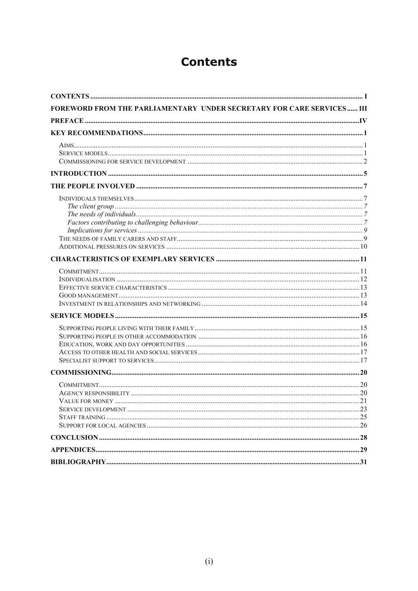# **Contents**

| FOREWORD FROM THE PARLIAMENTARY UNDER SECRETARY FOR CARE SERVICES III |  |
|-----------------------------------------------------------------------|--|
|                                                                       |  |
|                                                                       |  |
|                                                                       |  |
|                                                                       |  |
|                                                                       |  |
|                                                                       |  |
|                                                                       |  |
|                                                                       |  |
|                                                                       |  |
|                                                                       |  |
|                                                                       |  |
|                                                                       |  |
|                                                                       |  |
|                                                                       |  |
|                                                                       |  |
|                                                                       |  |
|                                                                       |  |
|                                                                       |  |
|                                                                       |  |
|                                                                       |  |
|                                                                       |  |
|                                                                       |  |
|                                                                       |  |
|                                                                       |  |
|                                                                       |  |
|                                                                       |  |
|                                                                       |  |
|                                                                       |  |
|                                                                       |  |
|                                                                       |  |
|                                                                       |  |
|                                                                       |  |
|                                                                       |  |
|                                                                       |  |
|                                                                       |  |
|                                                                       |  |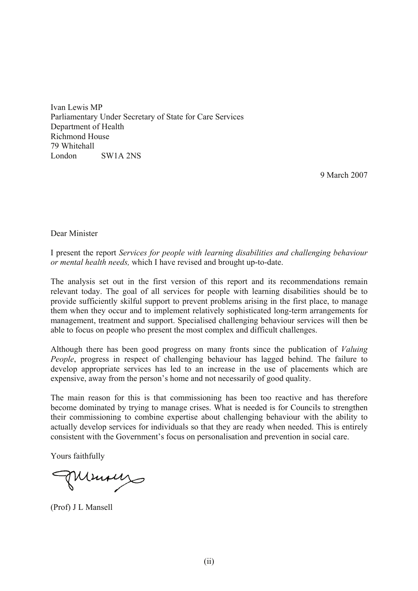Ivan Lewis MP Parliamentary Under Secretary of State for Care Services Department of Health Richmond House 79 Whitehall London SW1A 2NS

9 March 2007

Dear Minister

I present the report *Services for people with learning disabilities and challenging behaviour or mental health needs,* which I have revised and brought up-to-date.

The analysis set out in the first version of this report and its recommendations remain relevant today. The goal of all services for people with learning disabilities should be to provide sufficiently skilful support to prevent problems arising in the first place, to manage them when they occur and to implement relatively sophisticated long-term arrangements for management, treatment and support. Specialised challenging behaviour services will then be able to focus on people who present the most complex and difficult challenges.

Although there has been good progress on many fronts since the publication of *Valuing People*, progress in respect of challenging behaviour has lagged behind. The failure to develop appropriate services has led to an increase in the use of placements which are expensive, away from the person's home and not necessarily of good quality.

The main reason for this is that commissioning has been too reactive and has therefore become dominated by trying to manage crises. What is needed is for Councils to strengthen their commissioning to combine expertise about challenging behaviour with the ability to actually develop services for individuals so that they are ready when needed. This is entirely consistent with the Government's focus on personalisation and prevention in social care.

Yours faithfully

Minings

(Prof) J L Mansell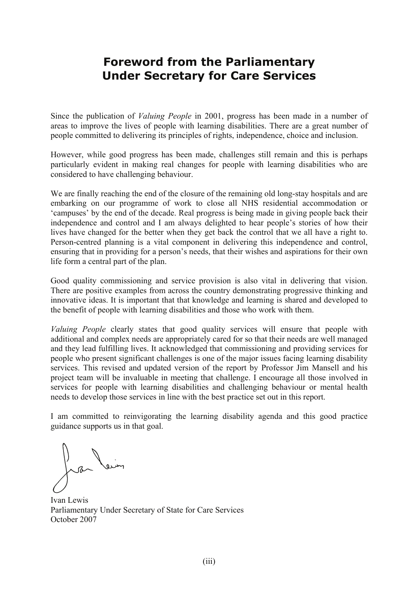### **Foreword from the Parliamentary Under Secretary for Care Services**

Since the publication of *Valuing People* in 2001, progress has been made in a number of areas to improve the lives of people with learning disabilities. There are a great number of people committed to delivering its principles of rights, independence, choice and inclusion.

However, while good progress has been made, challenges still remain and this is perhaps particularly evident in making real changes for people with learning disabilities who are considered to have challenging behaviour.

We are finally reaching the end of the closure of the remaining old long-stay hospitals and are embarking on our programme of work to close all NHS residential accommodation or 'campuses' by the end of the decade. Real progress is being made in giving people back their independence and control and I am always delighted to hear people's stories of how their lives have changed for the better when they get back the control that we all have a right to. Person-centred planning is a vital component in delivering this independence and control, ensuring that in providing for a person's needs, that their wishes and aspirations for their own life form a central part of the plan.

Good quality commissioning and service provision is also vital in delivering that vision. There are positive examples from across the country demonstrating progressive thinking and innovative ideas. It is important that that knowledge and learning is shared and developed to the benefit of people with learning disabilities and those who work with them.

*Valuing People* clearly states that good quality services will ensure that people with additional and complex needs are appropriately cared for so that their needs are well managed and they lead fulfilling lives. It acknowledged that commissioning and providing services for people who present significant challenges is one of the major issues facing learning disability services. This revised and updated version of the report by Professor Jim Mansell and his project team will be invaluable in meeting that challenge. I encourage all those involved in services for people with learning disabilities and challenging behaviour or mental health needs to develop those services in line with the best practice set out in this report.

I am committed to reinvigorating the learning disability agenda and this good practice guidance supports us in that goal.

Jean Vein

Ivan Lewis Parliamentary Under Secretary of State for Care Services October 2007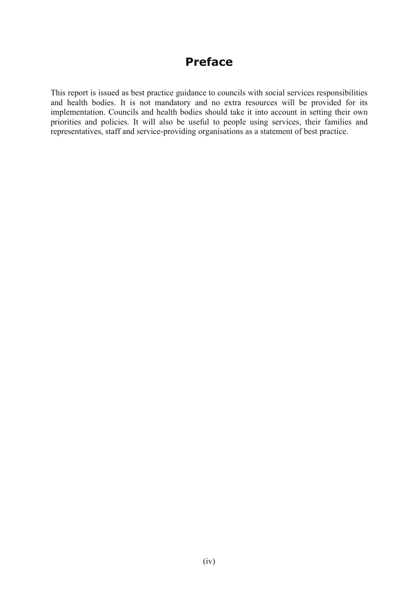# **Preface**

This report is issued as best practice guidance to councils with social services responsibilities and health bodies. It is not mandatory and no extra resources will be provided for its implementation. Councils and health bodies should take it into account in setting their own priorities and policies. It will also be useful to people using services, their families and representatives, staff and service-providing organisations as a statement of best practice.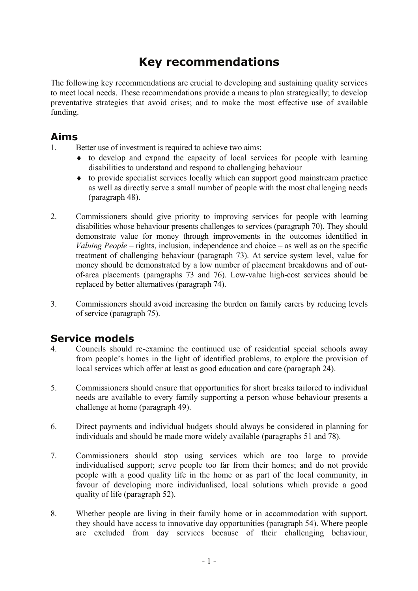# **Key recommendations**

The following key recommendations are crucial to developing and sustaining quality services to meet local needs. These recommendations provide a means to plan strategically; to develop preventative strategies that avoid crises; and to make the most effective use of available funding.

#### **Aims**

- 1. Better use of investment is required to achieve two aims:
	- ♦ to develop and expand the capacity of local services for people with learning disabilities to understand and respond to challenging behaviour
	- ♦ to provide specialist services locally which can support good mainstream practice as well as directly serve a small number of people with the most challenging needs (paragraph 48).
- 2. Commissioners should give priority to improving services for people with learning disabilities whose behaviour presents challenges to services (paragraph 70). They should demonstrate value for money through improvements in the outcomes identified in *Valuing People* – rights, inclusion, independence and choice – as well as on the specific treatment of challenging behaviour (paragraph 73). At service system level, value for money should be demonstrated by a low number of placement breakdowns and of outof-area placements (paragraphs 73 and 76). Low-value high-cost services should be replaced by better alternatives (paragraph 74).
- 3. Commissioners should avoid increasing the burden on family carers by reducing levels of service (paragraph 75).

### **Service models**

- 4. Councils should re-examine the continued use of residential special schools away from people's homes in the light of identified problems, to explore the provision of local services which offer at least as good education and care (paragraph 24).
- 5. Commissioners should ensure that opportunities for short breaks tailored to individual needs are available to every family supporting a person whose behaviour presents a challenge at home (paragraph 49).
- 6. Direct payments and individual budgets should always be considered in planning for individuals and should be made more widely available (paragraphs 51 and 78).
- 7. Commissioners should stop using services which are too large to provide individualised support; serve people too far from their homes; and do not provide people with a good quality life in the home or as part of the local community, in favour of developing more individualised, local solutions which provide a good quality of life (paragraph 52).
- 8. Whether people are living in their family home or in accommodation with support, they should have access to innovative day opportunities (paragraph 54). Where people are excluded from day services because of their challenging behaviour,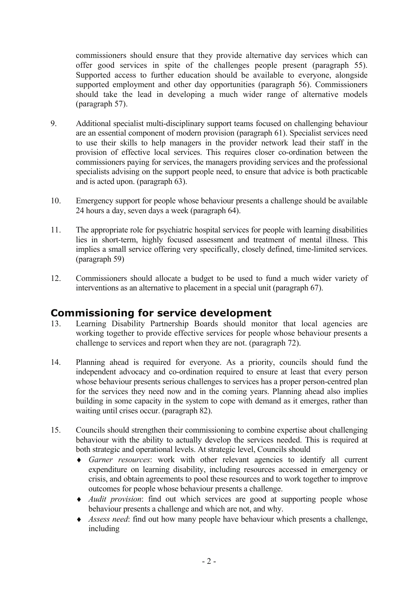commissioners should ensure that they provide alternative day services which can offer good services in spite of the challenges people present (paragraph 55). Supported access to further education should be available to everyone, alongside supported employment and other day opportunities (paragraph 56). Commissioners should take the lead in developing a much wider range of alternative models (paragraph 57).

- 9. Additional specialist multi-disciplinary support teams focused on challenging behaviour are an essential component of modern provision (paragraph 61). Specialist services need to use their skills to help managers in the provider network lead their staff in the provision of effective local services. This requires closer co-ordination between the commissioners paying for services, the managers providing services and the professional specialists advising on the support people need, to ensure that advice is both practicable and is acted upon. (paragraph 63).
- 10. Emergency support for people whose behaviour presents a challenge should be available 24 hours a day, seven days a week (paragraph 64).
- 11. The appropriate role for psychiatric hospital services for people with learning disabilities lies in short-term, highly focused assessment and treatment of mental illness. This implies a small service offering very specifically, closely defined, time-limited services. (paragraph 59)
- 12. Commissioners should allocate a budget to be used to fund a much wider variety of interventions as an alternative to placement in a special unit (paragraph 67).

### **Commissioning for service development**

- 13. Learning Disability Partnership Boards should monitor that local agencies are working together to provide effective services for people whose behaviour presents a challenge to services and report when they are not. (paragraph 72).
- 14. Planning ahead is required for everyone. As a priority, councils should fund the independent advocacy and co-ordination required to ensure at least that every person whose behaviour presents serious challenges to services has a proper person-centred plan for the services they need now and in the coming years. Planning ahead also implies building in some capacity in the system to cope with demand as it emerges, rather than waiting until crises occur. (paragraph 82).
- 15. Councils should strengthen their commissioning to combine expertise about challenging behaviour with the ability to actually develop the services needed. This is required at both strategic and operational levels. At strategic level, Councils should
	- ♦ *Garner resources*: work with other relevant agencies to identify all current expenditure on learning disability, including resources accessed in emergency or crisis, and obtain agreements to pool these resources and to work together to improve outcomes for people whose behaviour presents a challenge.
	- ♦ *Audit provision*: find out which services are good at supporting people whose behaviour presents a challenge and which are not, and why.
	- ♦ *Assess need*: find out how many people have behaviour which presents a challenge, including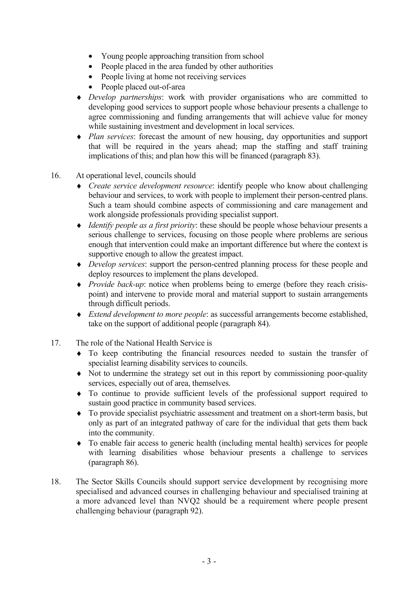- Young people approaching transition from school
- People placed in the area funded by other authorities
- People living at home not receiving services
- People placed out-of-area
- ♦ *Develop partnerships*: work with provider organisations who are committed to developing good services to support people whose behaviour presents a challenge to agree commissioning and funding arrangements that will achieve value for money while sustaining investment and development in local services.
- ♦ *Plan services*: forecast the amount of new housing, day opportunities and support that will be required in the years ahead; map the staffing and staff training implications of this; and plan how this will be financed (paragraph 83).
- 16. At operational level, councils should
	- ♦ *Create service development resource*: identify people who know about challenging behaviour and services, to work with people to implement their person-centred plans. Such a team should combine aspects of commissioning and care management and work alongside professionals providing specialist support.
	- ♦ *Identify people as a first priority*: these should be people whose behaviour presents a serious challenge to services, focusing on those people where problems are serious enough that intervention could make an important difference but where the context is supportive enough to allow the greatest impact.
	- ♦ *Develop services*: support the person-centred planning process for these people and deploy resources to implement the plans developed.
	- ♦ *Provide back-up*: notice when problems being to emerge (before they reach crisispoint) and intervene to provide moral and material support to sustain arrangements through difficult periods.
	- ♦ *Extend development to more people*: as successful arrangements become established, take on the support of additional people (paragraph 84).
- 17. The role of the National Health Service is
	- ♦ To keep contributing the financial resources needed to sustain the transfer of specialist learning disability services to councils.
	- ♦ Not to undermine the strategy set out in this report by commissioning poor-quality services, especially out of area, themselves.
	- ♦ To continue to provide sufficient levels of the professional support required to sustain good practice in community based services.
	- ♦ To provide specialist psychiatric assessment and treatment on a short-term basis, but only as part of an integrated pathway of care for the individual that gets them back into the community.
	- ♦ To enable fair access to generic health (including mental health) services for people with learning disabilities whose behaviour presents a challenge to services (paragraph 86).
- 18. The Sector Skills Councils should support service development by recognising more specialised and advanced courses in challenging behaviour and specialised training at a more advanced level than NVQ2 should be a requirement where people present challenging behaviour (paragraph 92).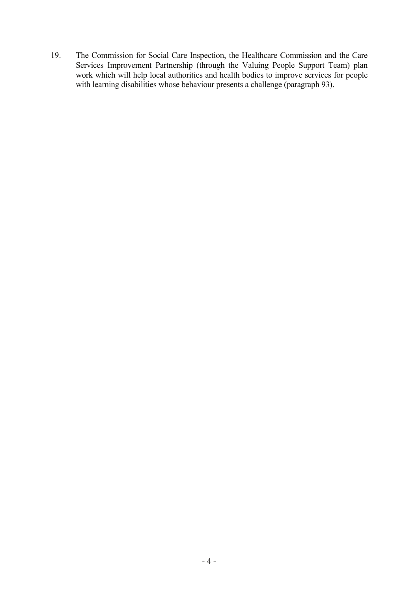19. The Commission for Social Care Inspection, the Healthcare Commission and the Care Services Improvement Partnership (through the Valuing People Support Team) plan work which will help local authorities and health bodies to improve services for people with learning disabilities whose behaviour presents a challenge (paragraph 93).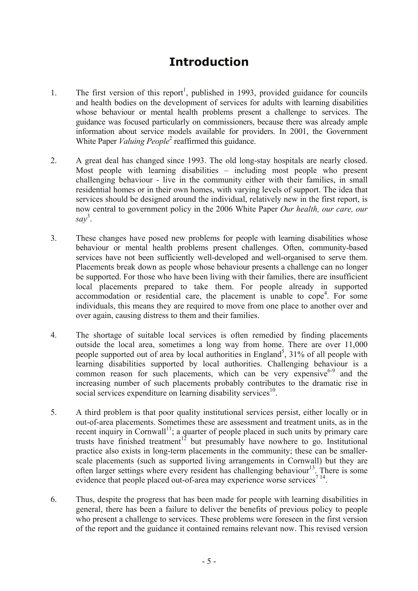# **Introduction**

- 1. The first version of this report<sup>1</sup>, published in 1993, provided guidance for councils and health bodies on the development of services for adults with learning disabilities whose behaviour or mental health problems present a challenge to services. The guidance was focused particularly on commissioners, because there was already ample information about service models available for providers. In 2001, the Government White Paper *Valuing People*<sup>2</sup> reaffirmed this guidance.
- 2. A great deal has changed since 1993. The old long-stay hospitals are nearly closed. Most people with learning disabilities – including most people who present challenging behaviour - live in the community either with their families, in small residential homes or in their own homes, with varying levels of support. The idea that services should be designed around the individual, relatively new in the first report, is now central to government policy in the 2006 White Paper *Our health, our care, our say* 3 .
- 3. These changes have posed new problems for people with learning disabilities whose behaviour or mental health problems present challenges. Often, community-based services have not been sufficiently well-developed and well-organised to serve them. Placements break down as people whose behaviour presents a challenge can no longer be supported. For those who have been living with their families, there are insufficient local placements prepared to take them. For people already in supported accommodation or residential care, the placement is unable to  $\text{cope}^4$ . For some individuals, this means they are required to move from one place to another over and over again, causing distress to them and their families.
- 4. The shortage of suitable local services is often remedied by finding placements outside the local area, sometimes a long way from home. There are over 11,000 people supported out of area by local authorities in England<sup>5</sup>,  $31\%$  of all people with learning disabilities supported by local authorities. Challenging behaviour is a common reason for such placements, which can be very expensive  $6-9$  and the increasing number of such placements probably contributes to the dramatic rise in social services expenditure on learning disability services<sup>10</sup>.
- 5. A third problem is that poor quality institutional services persist, either locally or in out-of-area placements. Sometimes these are assessment and treatment units, as in the recent inquiry in Cornwall<sup>11</sup>; a quarter of people placed in such units by primary care trusts have finished treatment<sup>12</sup> but presumably have nowhere to go. Institutional practice also exists in long-term placements in the community; these can be smallerscale placements (such as supported living arrangements in Cornwall) but they are often larger settings where every resident has challenging behaviour<sup>13</sup>. There is some evidence that people placed out-of-area may experience worse services<sup>714</sup>.
- 6. Thus, despite the progress that has been made for people with learning disabilities in general, there has been a failure to deliver the benefits of previous policy to people who present a challenge to services. These problems were foreseen in the first version of the report and the guidance it contained remains relevant now. This revised version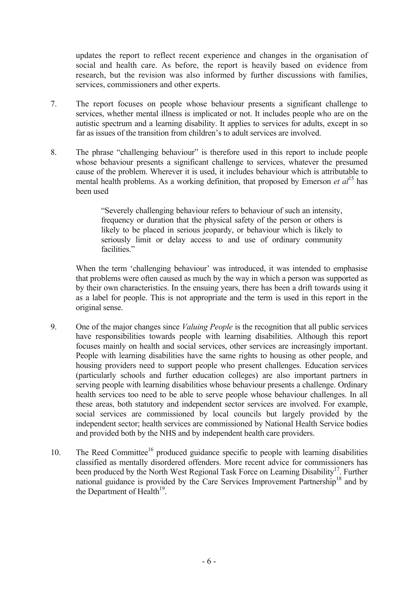updates the report to reflect recent experience and changes in the organisation of social and health care. As before, the report is heavily based on evidence from research, but the revision was also informed by further discussions with families, services, commissioners and other experts.

- 7. The report focuses on people whose behaviour presents a significant challenge to services, whether mental illness is implicated or not. It includes people who are on the autistic spectrum and a learning disability. It applies to services for adults, except in so far as issues of the transition from children's to adult services are involved.
- 8. The phrase "challenging behaviour" is therefore used in this report to include people whose behaviour presents a significant challenge to services, whatever the presumed cause of the problem. Wherever it is used, it includes behaviour which is attributable to mental health problems. As a working definition, that proposed by Emerson *et al*<sup>15</sup> has been used

"Severely challenging behaviour refers to behaviour of such an intensity, frequency or duration that the physical safety of the person or others is likely to be placed in serious jeopardy, or behaviour which is likely to seriously limit or delay access to and use of ordinary community facilities."

When the term 'challenging behaviour' was introduced, it was intended to emphasise that problems were often caused as much by the way in which a person was supported as by their own characteristics. In the ensuing years, there has been a drift towards using it as a label for people. This is not appropriate and the term is used in this report in the original sense.

- 9. One of the major changes since *Valuing People* is the recognition that all public services have responsibilities towards people with learning disabilities. Although this report focuses mainly on health and social services, other services are increasingly important. People with learning disabilities have the same rights to housing as other people, and housing providers need to support people who present challenges. Education services (particularly schools and further education colleges) are also important partners in serving people with learning disabilities whose behaviour presents a challenge. Ordinary health services too need to be able to serve people whose behaviour challenges. In all these areas, both statutory and independent sector services are involved. For example, social services are commissioned by local councils but largely provided by the independent sector; health services are commissioned by National Health Service bodies and provided both by the NHS and by independent health care providers.
- 10. The Reed Committee<sup>16</sup> produced guidance specific to people with learning disabilities classified as mentally disordered offenders. More recent advice for commissioners has been produced by the North West Regional Task Force on Learning Disability<sup>17</sup>. Further national guidance is provided by the Care Services Improvement Partnership<sup>18</sup> and by the Department of Health $^{19}$ .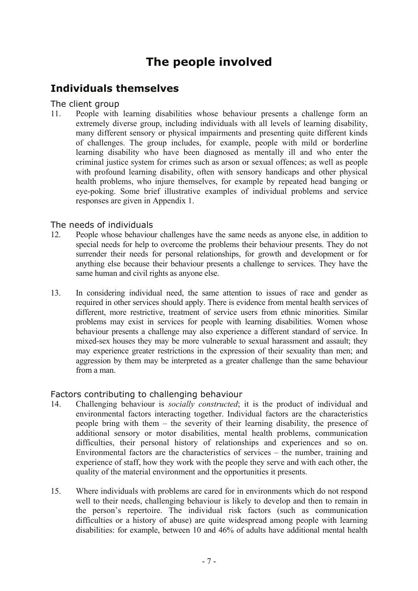# **The people involved**

### **Individuals themselves**

#### The client group

11. People with learning disabilities whose behaviour presents a challenge form an extremely diverse group, including individuals with all levels of learning disability, many different sensory or physical impairments and presenting quite different kinds of challenges. The group includes, for example, people with mild or borderline learning disability who have been diagnosed as mentally ill and who enter the criminal justice system for crimes such as arson or sexual offences; as well as people with profound learning disability, often with sensory handicaps and other physical health problems, who injure themselves, for example by repeated head banging or eye-poking. Some brief illustrative examples of individual problems and service responses are given in Appendix 1.

#### The needs of individuals

- 12. People whose behaviour challenges have the same needs as anyone else, in addition to special needs for help to overcome the problems their behaviour presents. They do not surrender their needs for personal relationships, for growth and development or for anything else because their behaviour presents a challenge to services. They have the same human and civil rights as anyone else.
- 13. In considering individual need, the same attention to issues of race and gender as required in other services should apply. There is evidence from mental health services of different, more restrictive, treatment of service users from ethnic minorities. Similar problems may exist in services for people with learning disabilities. Women whose behaviour presents a challenge may also experience a different standard of service. In mixed-sex houses they may be more vulnerable to sexual harassment and assault; they may experience greater restrictions in the expression of their sexuality than men; and aggression by them may be interpreted as a greater challenge than the same behaviour from a man.

#### Factors contributing to challenging behaviour

- 14. Challenging behaviour is *socially constructed*; it is the product of individual and environmental factors interacting together. Individual factors are the characteristics people bring with them – the severity of their learning disability, the presence of additional sensory or motor disabilities, mental health problems, communication difficulties, their personal history of relationships and experiences and so on. Environmental factors are the characteristics of services – the number, training and experience of staff, how they work with the people they serve and with each other, the quality of the material environment and the opportunities it presents.
- 15. Where individuals with problems are cared for in environments which do not respond well to their needs, challenging behaviour is likely to develop and then to remain in the person's repertoire. The individual risk factors (such as communication difficulties or a history of abuse) are quite widespread among people with learning disabilities: for example, between 10 and 46% of adults have additional mental health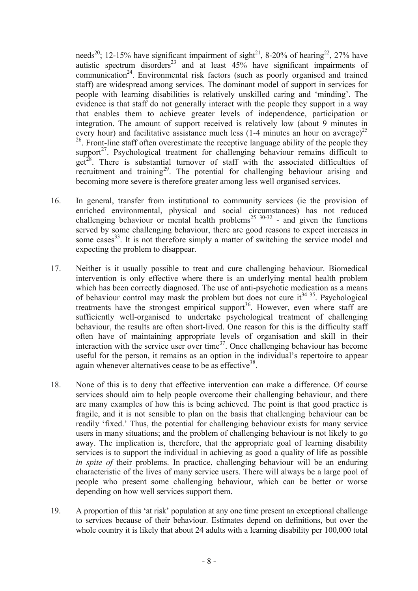needs<sup>20</sup>; 12-15% have significant impairment of sight<sup>21</sup>, 8-20% of hearing<sup>22</sup>, 27% have autistic spectrum disorders<sup>23</sup> and at least  $45\%$  have significant impairments of communication<sup>24</sup>. Environmental risk factors (such as poorly organised and trained staff) are widespread among services. The dominant model of support in services for people with learning disabilities is relatively unskilled caring and 'minding'. The evidence is that staff do not generally interact with the people they support in a way that enables them to achieve greater levels of independence, participation or integration. The amount of support received is relatively low (about 9 minutes in every hour) and facilitative assistance much less (1-4 minutes an hour on average)<sup>25</sup>  $26$ . Front-line staff often overestimate the receptive language ability of the people they support $27$ . Psychological treatment for challenging behaviour remains difficult to get<sup>28</sup>. There is substantial turnover of staff with the associated difficulties of recruitment and training<sup>29</sup>. The potential for challenging behaviour arising and becoming more severe is therefore greater among less well organised services.

- 16. In general, transfer from institutional to community services (ie the provision of enriched environmental, physical and social circumstances) has not reduced challenging behaviour or mental health problems<sup>25 30-32</sup> - and given the functions served by some challenging behaviour, there are good reasons to expect increases in some cases  $33$ . It is not therefore simply a matter of switching the service model and expecting the problem to disappear.
- 17. Neither is it usually possible to treat and cure challenging behaviour. Biomedical intervention is only effective where there is an underlying mental health problem which has been correctly diagnosed. The use of anti-psychotic medication as a means of behaviour control may mask the problem but does not cure it  $34^{35}$ . Psychological treatments have the strongest empirical support<sup>36</sup>. However, even where staff are sufficiently well-organised to undertake psychological treatment of challenging behaviour, the results are often short-lived. One reason for this is the difficulty staff often have of maintaining appropriate levels of organisation and skill in their interaction with the service user over time<sup>37</sup>. Once challenging behaviour has become useful for the person, it remains as an option in the individual's repertoire to appear again whenever alternatives cease to be as effective<sup>38</sup>.
- 18. None of this is to deny that effective intervention can make a difference. Of course services should aim to help people overcome their challenging behaviour, and there are many examples of how this is being achieved. The point is that good practice is fragile, and it is not sensible to plan on the basis that challenging behaviour can be readily 'fixed.' Thus, the potential for challenging behaviour exists for many service users in many situations; and the problem of challenging behaviour is not likely to go away. The implication is, therefore, that the appropriate goal of learning disability services is to support the individual in achieving as good a quality of life as possible *in spite of* their problems. In practice, challenging behaviour will be an enduring characteristic of the lives of many service users. There will always be a large pool of people who present some challenging behaviour, which can be better or worse depending on how well services support them.
- 19. A proportion of this 'at risk' population at any one time present an exceptional challenge to services because of their behaviour. Estimates depend on definitions, but over the whole country it is likely that about 24 adults with a learning disability per 100,000 total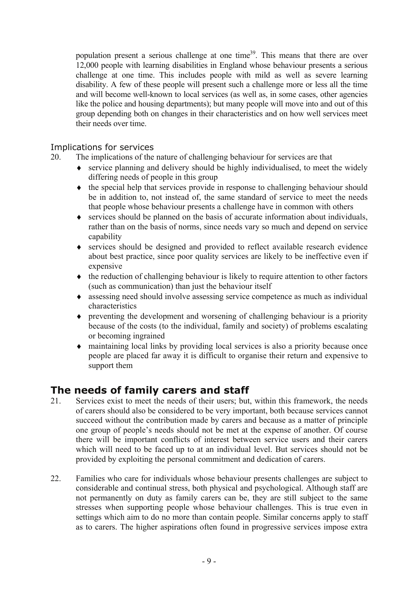population present a serious challenge at one time<sup>39</sup>. This means that there are over 12,000 people with learning disabilities in England whose behaviour presents a serious challenge at one time. This includes people with mild as well as severe learning disability. A few of these people will present such a challenge more or less all the time and will become well-known to local services (as well as, in some cases, other agencies like the police and housing departments); but many people will move into and out of this group depending both on changes in their characteristics and on how well services meet their needs over time.

#### Implications for services

20. The implications of the nature of challenging behaviour for services are that

- ♦ service planning and delivery should be highly individualised, to meet the widely differing needs of people in this group
- ♦ the special help that services provide in response to challenging behaviour should be in addition to, not instead of, the same standard of service to meet the needs that people whose behaviour presents a challenge have in common with others
- ♦ services should be planned on the basis of accurate information about individuals, rather than on the basis of norms, since needs vary so much and depend on service capability
- ♦ services should be designed and provided to reflect available research evidence about best practice, since poor quality services are likely to be ineffective even if expensive
- ♦ the reduction of challenging behaviour is likely to require attention to other factors (such as communication) than just the behaviour itself
- ♦ assessing need should involve assessing service competence as much as individual characteristics
- ♦ preventing the development and worsening of challenging behaviour is a priority because of the costs (to the individual, family and society) of problems escalating or becoming ingrained
- ♦ maintaining local links by providing local services is also a priority because once people are placed far away it is difficult to organise their return and expensive to support them

### **The needs of family carers and staff**

- 21. Services exist to meet the needs of their users; but, within this framework, the needs of carers should also be considered to be very important, both because services cannot succeed without the contribution made by carers and because as a matter of principle one group of people's needs should not be met at the expense of another. Of course there will be important conflicts of interest between service users and their carers which will need to be faced up to at an individual level. But services should not be provided by exploiting the personal commitment and dedication of carers.
- 22. Families who care for individuals whose behaviour presents challenges are subject to considerable and continual stress, both physical and psychological. Although staff are not permanently on duty as family carers can be, they are still subject to the same stresses when supporting people whose behaviour challenges. This is true even in settings which aim to do no more than contain people. Similar concerns apply to staff as to carers. The higher aspirations often found in progressive services impose extra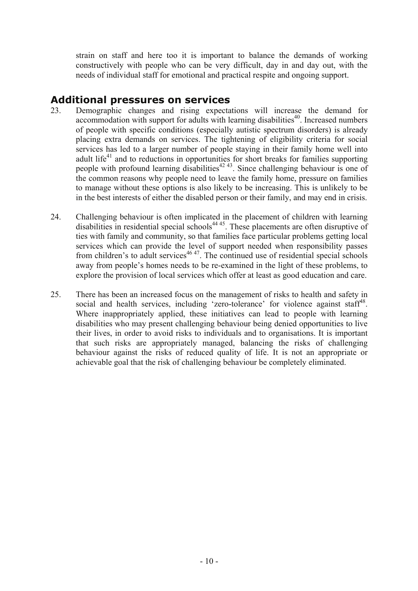strain on staff and here too it is important to balance the demands of working constructively with people who can be very difficult, day in and day out, with the needs of individual staff for emotional and practical respite and ongoing support.

#### **Additional pressures on services**

- 23. Demographic changes and rising expectations will increase the demand for accommodation with support for adults with learning disabilities<sup>40</sup>. Increased numbers of people with specific conditions (especially autistic spectrum disorders) is already placing extra demands on services. The tightening of eligibility criteria for social services has led to a larger number of people staying in their family home well into adult life<sup>41</sup> and to reductions in opportunities for short breaks for families supporting people with profound learning disabilities<sup> $42\frac{43}{1}$ </sup>. Since challenging behaviour is one of the common reasons why people need to leave the family home, pressure on families to manage without these options is also likely to be increasing. This is unlikely to be in the best interests of either the disabled person or their family, and may end in crisis.
- 24. Challenging behaviour is often implicated in the placement of children with learning disabilities in residential special schools<sup>44 45</sup>. These placements are often disruptive of ties with family and community, so that families face particular problems getting local services which can provide the level of support needed when responsibility passes from children's to adult services $46\frac{47}{1}$ . The continued use of residential special schools away from people's homes needs to be re-examined in the light of these problems, to explore the provision of local services which offer at least as good education and care.
- 25. There has been an increased focus on the management of risks to health and safety in social and health services, including 'zero-tolerance' for violence against staff<sup>48</sup>. Where inappropriately applied, these initiatives can lead to people with learning disabilities who may present challenging behaviour being denied opportunities to live their lives, in order to avoid risks to individuals and to organisations. It is important that such risks are appropriately managed, balancing the risks of challenging behaviour against the risks of reduced quality of life. It is not an appropriate or achievable goal that the risk of challenging behaviour be completely eliminated.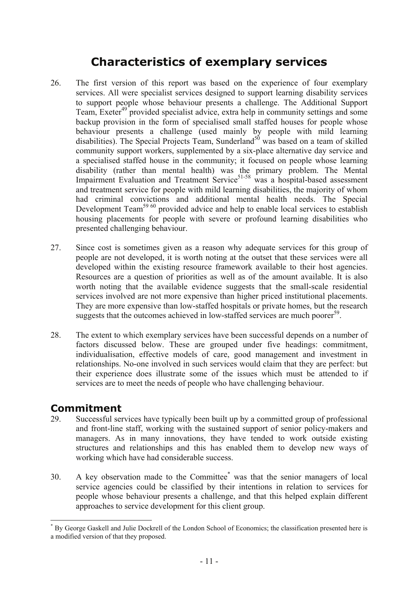## **Characteristics of exemplary services**

- 26. The first version of this report was based on the experience of four exemplary services. All were specialist services designed to support learning disability services to support people whose behaviour presents a challenge. The Additional Support Team, Exeter<sup>49</sup> provided specialist advice, extra help in community settings and some backup provision in the form of specialised small staffed houses for people whose behaviour presents a challenge (used mainly by people with mild learning disabilities). The Special Projects Team, Sunderland<sup>50</sup> was based on a team of skilled community support workers, supplemented by a six-place alternative day service and a specialised staffed house in the community; it focused on people whose learning disability (rather than mental health) was the primary problem. The Mental Impairment Evaluation and Treatment Service<sup>51-58</sup> was a hospital-based assessment and treatment service for people with mild learning disabilities, the majority of whom had criminal convictions and additional mental health needs. The Special Development Team<sup>59 60</sup> provided advice and help to enable local services to establish housing placements for people with severe or profound learning disabilities who presented challenging behaviour.
- 27. Since cost is sometimes given as a reason why adequate services for this group of people are not developed, it is worth noting at the outset that these services were all developed within the existing resource framework available to their host agencies. Resources are a question of priorities as well as of the amount available. It is also worth noting that the available evidence suggests that the small-scale residential services involved are not more expensive than higher priced institutional placements. They are more expensive than low-staffed hospitals or private homes, but the research suggests that the outcomes achieved in low-staffed services are much poorer<sup>59</sup>.
- 28. The extent to which exemplary services have been successful depends on a number of factors discussed below. These are grouped under five headings: commitment, individualisation, effective models of care, good management and investment in relationships. No-one involved in such services would claim that they are perfect: but their experience does illustrate some of the issues which must be attended to if services are to meet the needs of people who have challenging behaviour.

#### **Commitment**

 $\overline{a}$ 

- 29. Successful services have typically been built up by a committed group of professional and front-line staff, working with the sustained support of senior policy-makers and managers. As in many innovations, they have tended to work outside existing structures and relationships and this has enabled them to develop new ways of working which have had considerable success.
- 30. A key observation made to the Committee<sup>\*</sup> was that the senior managers of local service agencies could be classified by their intentions in relation to services for people whose behaviour presents a challenge, and that this helped explain different approaches to service development for this client group.

<sup>\*</sup> By George Gaskell and Julie Dockrell of the London School of Economics; the classification presented here is a modified version of that they proposed.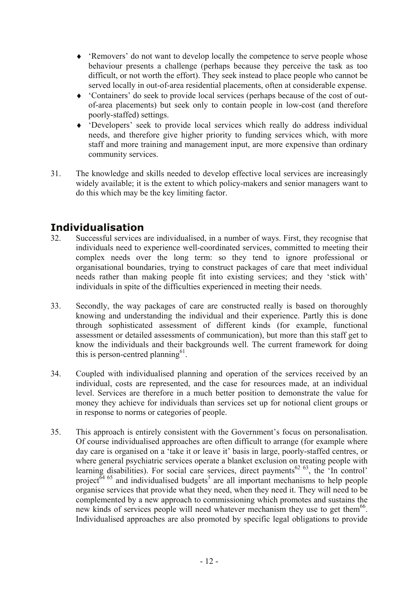- ♦ 'Removers' do not want to develop locally the competence to serve people whose behaviour presents a challenge (perhaps because they perceive the task as too difficult, or not worth the effort). They seek instead to place people who cannot be served locally in out-of-area residential placements, often at considerable expense.
- ♦ 'Containers' do seek to provide local services (perhaps because of the cost of outof-area placements) but seek only to contain people in low-cost (and therefore poorly-staffed) settings.
- ♦ 'Developers' seek to provide local services which really do address individual needs, and therefore give higher priority to funding services which, with more staff and more training and management input, are more expensive than ordinary community services.
- 31. The knowledge and skills needed to develop effective local services are increasingly widely available; it is the extent to which policy-makers and senior managers want to do this which may be the key limiting factor.

### **Individualisation**

- 32. Successful services are individualised, in a number of ways. First, they recognise that individuals need to experience well-coordinated services, committed to meeting their complex needs over the long term: so they tend to ignore professional or organisational boundaries, trying to construct packages of care that meet individual needs rather than making people fit into existing services; and they 'stick with' individuals in spite of the difficulties experienced in meeting their needs.
- 33. Secondly, the way packages of care are constructed really is based on thoroughly knowing and understanding the individual and their experience. Partly this is done through sophisticated assessment of different kinds (for example, functional assessment or detailed assessments of communication), but more than this staff get to know the individuals and their backgrounds well. The current framework for doing this is person-centred planning $^{61}$ .
- 34. Coupled with individualised planning and operation of the services received by an individual, costs are represented, and the case for resources made, at an individual level. Services are therefore in a much better position to demonstrate the value for money they achieve for individuals than services set up for notional client groups or in response to norms or categories of people.
- 35. This approach is entirely consistent with the Government's focus on personalisation. Of course individualised approaches are often difficult to arrange (for example where day care is organised on a 'take it or leave it' basis in large, poorly-staffed centres, or where general psychiatric services operate a blanket exclusion on treating people with learning disabilities). For social care services, direct payments<sup>62 63</sup>, the  $\cdot$ In control' project<sup> $\delta$ 4 65</sup> and individualised budgets<sup>3</sup> are all important mechanisms to help people organise services that provide what they need, when they need it. They will need to be complemented by a new approach to commissioning which promotes and sustains the new kinds of services people will need whatever mechanism they use to get them<sup>66</sup>. Individualised approaches are also promoted by specific legal obligations to provide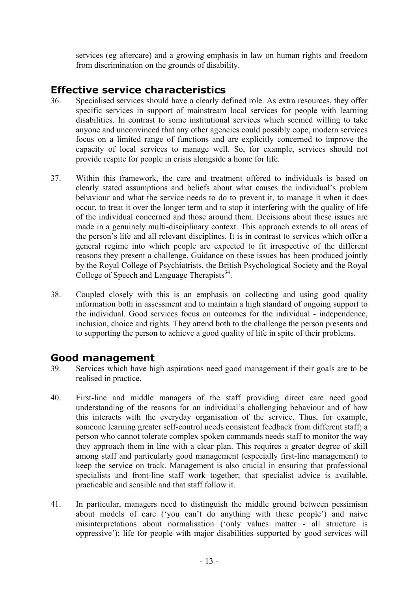services (eg aftercare) and a growing emphasis in law on human rights and freedom from discrimination on the grounds of disability.

### **Effective service characteristics**

- 36. Specialised services should have a clearly defined role. As extra resources, they offer specific services in support of mainstream local services for people with learning disabilities. In contrast to some institutional services which seemed willing to take anyone and unconvinced that any other agencies could possibly cope, modern services focus on a limited range of functions and are explicitly concerned to improve the capacity of local services to manage well. So, for example, services should not provide respite for people in crisis alongside a home for life.
- 37. Within this framework, the care and treatment offered to individuals is based on clearly stated assumptions and beliefs about what causes the individual's problem behaviour and what the service needs to do to prevent it, to manage it when it does occur, to treat it over the longer term and to stop it interfering with the quality of life of the individual concerned and those around them. Decisions about these issues are made in a genuinely multi-disciplinary context. This approach extends to all areas of the person's life and all relevant disciplines. It is in contrast to services which offer a general regime into which people are expected to fit irrespective of the different reasons they present a challenge. Guidance on these issues has been produced jointly by the Royal College of Psychiatrists, the British Psychological Society and the Royal College of Speech and Language Therapists<sup>34</sup>.
- 38. Coupled closely with this is an emphasis on collecting and using good quality information both in assessment and to maintain a high standard of ongoing support to the individual. Good services focus on outcomes for the individual - independence, inclusion, choice and rights. They attend both to the challenge the person presents and to supporting the person to achieve a good quality of life in spite of their problems.

#### **Good management**

- 39. Services which have high aspirations need good management if their goals are to be realised in practice.
- 40. First-line and middle managers of the staff providing direct care need good understanding of the reasons for an individual's challenging behaviour and of how this interacts with the everyday organisation of the service. Thus, for example, someone learning greater self-control needs consistent feedback from different staff; a person who cannot tolerate complex spoken commands needs staff to monitor the way they approach them in line with a clear plan. This requires a greater degree of skill among staff and particularly good management (especially first-line management) to keep the service on track. Management is also crucial in ensuring that professional specialists and front-line staff work together; that specialist advice is available, practicable and sensible and that staff follow it.
- 41. In particular, managers need to distinguish the middle ground between pessimism about models of care ('you can't do anything with these people') and naive misinterpretations about normalisation ('only values matter - all structure is oppressive'); life for people with major disabilities supported by good services will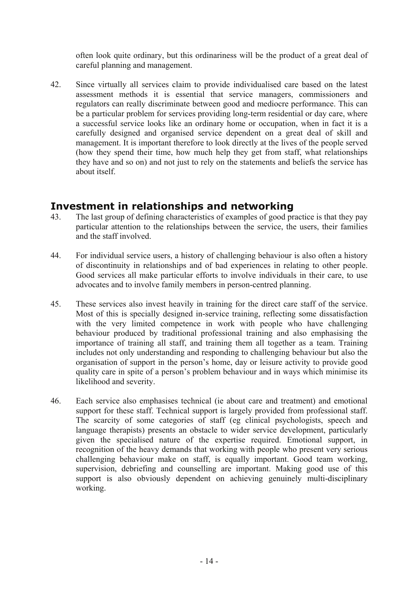often look quite ordinary, but this ordinariness will be the product of a great deal of careful planning and management.

42. Since virtually all services claim to provide individualised care based on the latest assessment methods it is essential that service managers, commissioners and regulators can really discriminate between good and mediocre performance. This can be a particular problem for services providing long-term residential or day care, where a successful service looks like an ordinary home or occupation, when in fact it is a carefully designed and organised service dependent on a great deal of skill and management. It is important therefore to look directly at the lives of the people served (how they spend their time, how much help they get from staff, what relationships they have and so on) and not just to rely on the statements and beliefs the service has about itself.

#### **Investment in relationships and networking**

- 43. The last group of defining characteristics of examples of good practice is that they pay particular attention to the relationships between the service, the users, their families and the staff involved.
- 44. For individual service users, a history of challenging behaviour is also often a history of discontinuity in relationships and of bad experiences in relating to other people. Good services all make particular efforts to involve individuals in their care, to use advocates and to involve family members in person-centred planning.
- 45. These services also invest heavily in training for the direct care staff of the service. Most of this is specially designed in-service training, reflecting some dissatisfaction with the very limited competence in work with people who have challenging behaviour produced by traditional professional training and also emphasising the importance of training all staff, and training them all together as a team. Training includes not only understanding and responding to challenging behaviour but also the organisation of support in the person's home, day or leisure activity to provide good quality care in spite of a person's problem behaviour and in ways which minimise its likelihood and severity.
- 46. Each service also emphasises technical (ie about care and treatment) and emotional support for these staff. Technical support is largely provided from professional staff. The scarcity of some categories of staff (eg clinical psychologists, speech and language therapists) presents an obstacle to wider service development, particularly given the specialised nature of the expertise required. Emotional support, in recognition of the heavy demands that working with people who present very serious challenging behaviour make on staff, is equally important. Good team working, supervision, debriefing and counselling are important. Making good use of this support is also obviously dependent on achieving genuinely multi-disciplinary working.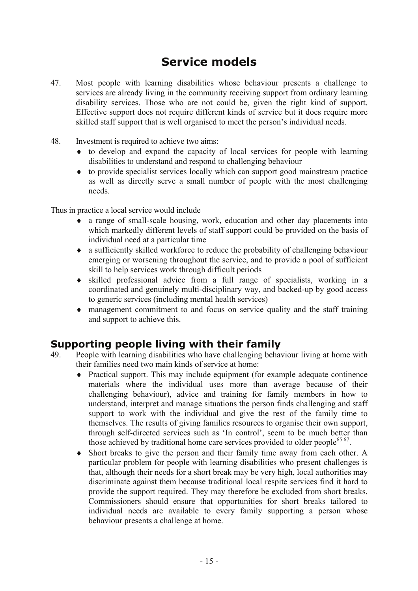# **Service models**

- 47. Most people with learning disabilities whose behaviour presents a challenge to services are already living in the community receiving support from ordinary learning disability services. Those who are not could be, given the right kind of support. Effective support does not require different kinds of service but it does require more skilled staff support that is well organised to meet the person's individual needs.
- 48. Investment is required to achieve two aims:
	- ♦ to develop and expand the capacity of local services for people with learning disabilities to understand and respond to challenging behaviour
	- ♦ to provide specialist services locally which can support good mainstream practice as well as directly serve a small number of people with the most challenging needs.

Thus in practice a local service would include

- ♦ a range of small-scale housing, work, education and other day placements into which markedly different levels of staff support could be provided on the basis of individual need at a particular time
- ♦ a sufficiently skilled workforce to reduce the probability of challenging behaviour emerging or worsening throughout the service, and to provide a pool of sufficient skill to help services work through difficult periods
- ♦ skilled professional advice from a full range of specialists, working in a coordinated and genuinely multi-disciplinary way, and backed-up by good access to generic services (including mental health services)
- ♦ management commitment to and focus on service quality and the staff training and support to achieve this.

#### **Supporting people living with their family**

- 49. People with learning disabilities who have challenging behaviour living at home with their families need two main kinds of service at home:
	- ♦ Practical support. This may include equipment (for example adequate continence materials where the individual uses more than average because of their challenging behaviour), advice and training for family members in how to understand, interpret and manage situations the person finds challenging and staff support to work with the individual and give the rest of the family time to themselves. The results of giving families resources to organise their own support, through self-directed services such as 'In control', seem to be much better than those achieved by traditional home care services provided to older people<sup>65 67</sup>.
	- ♦ Short breaks to give the person and their family time away from each other. A particular problem for people with learning disabilities who present challenges is that, although their needs for a short break may be very high, local authorities may discriminate against them because traditional local respite services find it hard to provide the support required. They may therefore be excluded from short breaks. Commissioners should ensure that opportunities for short breaks tailored to individual needs are available to every family supporting a person whose behaviour presents a challenge at home.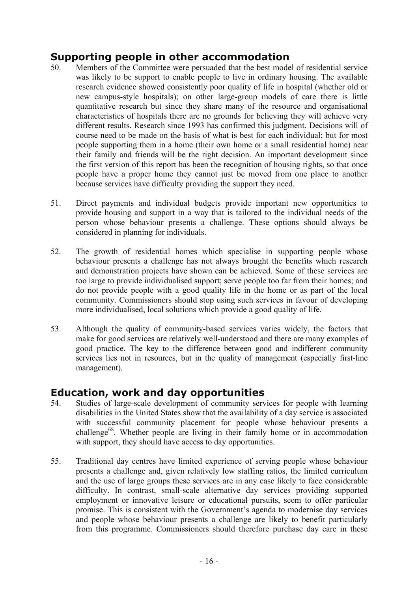### **Supporting people in other accommodation**

- 50. Members of the Committee were persuaded that the best model of residential service was likely to be support to enable people to live in ordinary housing. The available research evidence showed consistently poor quality of life in hospital (whether old or new campus-style hospitals); on other large-group models of care there is little quantitative research but since they share many of the resource and organisational characteristics of hospitals there are no grounds for believing they will achieve very different results. Research since 1993 has confirmed this judgment. Decisions will of course need to be made on the basis of what is best for each individual; but for most people supporting them in a home (their own home or a small residential home) near their family and friends will be the right decision. An important development since the first version of this report has been the recognition of housing rights, so that once people have a proper home they cannot just be moved from one place to another because services have difficulty providing the support they need.
- 51. Direct payments and individual budgets provide important new opportunities to provide housing and support in a way that is tailored to the individual needs of the person whose behaviour presents a challenge. These options should always be considered in planning for individuals.
- 52. The growth of residential homes which specialise in supporting people whose behaviour presents a challenge has not always brought the benefits which research and demonstration projects have shown can be achieved. Some of these services are too large to provide individualised support; serve people too far from their homes; and do not provide people with a good quality life in the home or as part of the local community. Commissioners should stop using such services in favour of developing more individualised, local solutions which provide a good quality of life.
- 53. Although the quality of community-based services varies widely, the factors that make for good services are relatively well-understood and there are many examples of good practice. The key to the difference between good and indifferent community services lies not in resources, but in the quality of management (especially first-line management).

### **Education, work and day opportunities**

- 54. Studies of large-scale development of community services for people with learning disabilities in the United States show that the availability of a day service is associated with successful community placement for people whose behaviour presents a challenge<sup>68</sup>. Whether people are living in their family home or in accommodation with support, they should have access to day opportunities.
- 55. Traditional day centres have limited experience of serving people whose behaviour presents a challenge and, given relatively low staffing ratios, the limited curriculum and the use of large groups these services are in any case likely to face considerable difficulty. In contrast, small-scale alternative day services providing supported employment or innovative leisure or educational pursuits, seem to offer particular promise. This is consistent with the Government's agenda to modernise day services and people whose behaviour presents a challenge are likely to benefit particularly from this programme. Commissioners should therefore purchase day care in these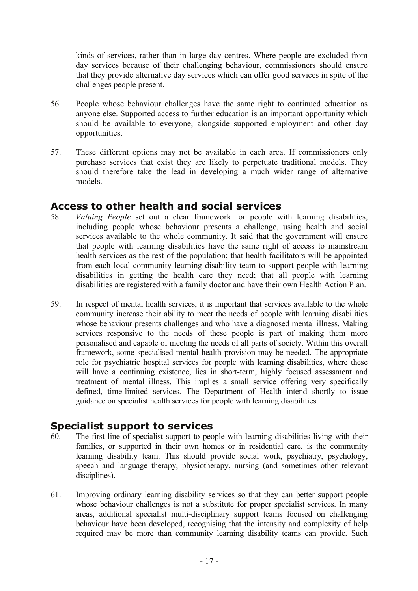kinds of services, rather than in large day centres. Where people are excluded from day services because of their challenging behaviour, commissioners should ensure that they provide alternative day services which can offer good services in spite of the challenges people present.

- 56. People whose behaviour challenges have the same right to continued education as anyone else. Supported access to further education is an important opportunity which should be available to everyone, alongside supported employment and other day opportunities.
- 57. These different options may not be available in each area. If commissioners only purchase services that exist they are likely to perpetuate traditional models. They should therefore take the lead in developing a much wider range of alternative models.

#### **Access to other health and social services**

- 58. *Valuing People* set out a clear framework for people with learning disabilities, including people whose behaviour presents a challenge, using health and social services available to the whole community. It said that the government will ensure that people with learning disabilities have the same right of access to mainstream health services as the rest of the population; that health facilitators will be appointed from each local community learning disability team to support people with learning disabilities in getting the health care they need; that all people with learning disabilities are registered with a family doctor and have their own Health Action Plan.
- 59. In respect of mental health services, it is important that services available to the whole community increase their ability to meet the needs of people with learning disabilities whose behaviour presents challenges and who have a diagnosed mental illness. Making services responsive to the needs of these people is part of making them more personalised and capable of meeting the needs of all parts of society. Within this overall framework, some specialised mental health provision may be needed. The appropriate role for psychiatric hospital services for people with learning disabilities, where these will have a continuing existence, lies in short-term, highly focused assessment and treatment of mental illness. This implies a small service offering very specifically defined, time-limited services. The Department of Health intend shortly to issue guidance on specialist health services for people with learning disabilities.

#### **Specialist support to services**

- 60. The first line of specialist support to people with learning disabilities living with their families, or supported in their own homes or in residential care, is the community learning disability team. This should provide social work, psychiatry, psychology, speech and language therapy, physiotherapy, nursing (and sometimes other relevant disciplines).
- 61. Improving ordinary learning disability services so that they can better support people whose behaviour challenges is not a substitute for proper specialist services. In many areas, additional specialist multi-disciplinary support teams focused on challenging behaviour have been developed, recognising that the intensity and complexity of help required may be more than community learning disability teams can provide. Such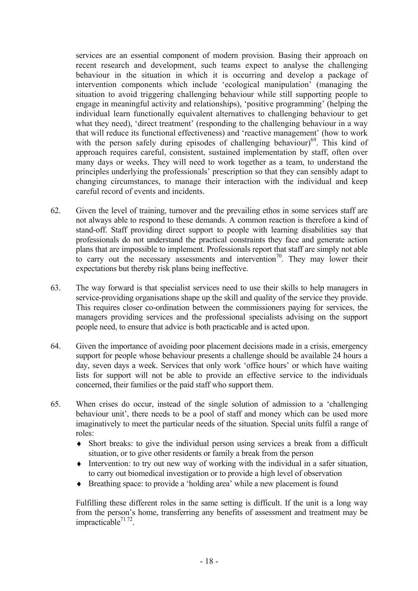services are an essential component of modern provision. Basing their approach on recent research and development, such teams expect to analyse the challenging behaviour in the situation in which it is occurring and develop a package of intervention components which include 'ecological manipulation' (managing the situation to avoid triggering challenging behaviour while still supporting people to engage in meaningful activity and relationships), 'positive programming' (helping the individual learn functionally equivalent alternatives to challenging behaviour to get what they need), 'direct treatment' (responding to the challenging behaviour in a way that will reduce its functional effectiveness) and 'reactive management' (how to work with the person safely during episodes of challenging behaviour)<sup>69</sup>. This kind of approach requires careful, consistent, sustained implementation by staff, often over many days or weeks. They will need to work together as a team, to understand the principles underlying the professionals' prescription so that they can sensibly adapt to changing circumstances, to manage their interaction with the individual and keep careful record of events and incidents.

- 62. Given the level of training, turnover and the prevailing ethos in some services staff are not always able to respond to these demands. A common reaction is therefore a kind of stand-off. Staff providing direct support to people with learning disabilities say that professionals do not understand the practical constraints they face and generate action plans that are impossible to implement. Professionals report that staff are simply not able to carry out the necessary assessments and intervention<sup>70</sup>. They may lower their expectations but thereby risk plans being ineffective.
- 63. The way forward is that specialist services need to use their skills to help managers in service-providing organisations shape up the skill and quality of the service they provide. This requires closer co-ordination between the commissioners paying for services, the managers providing services and the professional specialists advising on the support people need, to ensure that advice is both practicable and is acted upon.
- 64. Given the importance of avoiding poor placement decisions made in a crisis, emergency support for people whose behaviour presents a challenge should be available 24 hours a day, seven days a week. Services that only work 'office hours' or which have waiting lists for support will not be able to provide an effective service to the individuals concerned, their families or the paid staff who support them.
- 65. When crises do occur, instead of the single solution of admission to a 'challenging behaviour unit', there needs to be a pool of staff and money which can be used more imaginatively to meet the particular needs of the situation. Special units fulfil a range of roles:
	- ♦ Short breaks: to give the individual person using services a break from a difficult situation, or to give other residents or family a break from the person
	- ♦ Intervention: to try out new way of working with the individual in a safer situation, to carry out biomedical investigation or to provide a high level of observation
	- ♦ Breathing space: to provide a 'holding area' while a new placement is found

Fulfilling these different roles in the same setting is difficult. If the unit is a long way from the person's home, transferring any benefits of assessment and treatment may be impracticable $7172$ .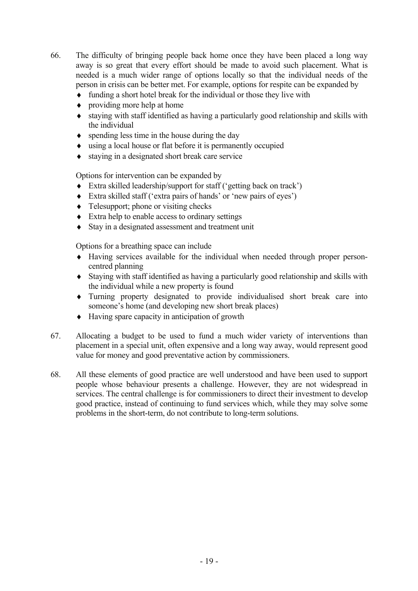- 66. The difficulty of bringing people back home once they have been placed a long way away is so great that every effort should be made to avoid such placement. What is needed is a much wider range of options locally so that the individual needs of the person in crisis can be better met. For example, options for respite can be expanded by
	- ♦ funding a short hotel break for the individual or those they live with
	- $\bullet$  providing more help at home
	- ♦ staying with staff identified as having a particularly good relationship and skills with the individual
	- $\bullet$  spending less time in the house during the day
	- ♦ using a local house or flat before it is permanently occupied
	- ♦ staying in a designated short break care service

Options for intervention can be expanded by

- ♦ Extra skilled leadership/support for staff ('getting back on track')
- ♦ Extra skilled staff ('extra pairs of hands' or 'new pairs of eyes')
- $\triangleleft$  Telesupport; phone or visiting checks
- ♦ Extra help to enable access to ordinary settings
- ♦ Stay in a designated assessment and treatment unit

Options for a breathing space can include

- ♦ Having services available for the individual when needed through proper personcentred planning
- ♦ Staying with staff identified as having a particularly good relationship and skills with the individual while a new property is found
- ♦ Turning property designated to provide individualised short break care into someone's home (and developing new short break places)
- ♦ Having spare capacity in anticipation of growth
- 67. Allocating a budget to be used to fund a much wider variety of interventions than placement in a special unit, often expensive and a long way away, would represent good value for money and good preventative action by commissioners.
- 68. All these elements of good practice are well understood and have been used to support people whose behaviour presents a challenge. However, they are not widespread in services. The central challenge is for commissioners to direct their investment to develop good practice, instead of continuing to fund services which, while they may solve some problems in the short-term, do not contribute to long-term solutions.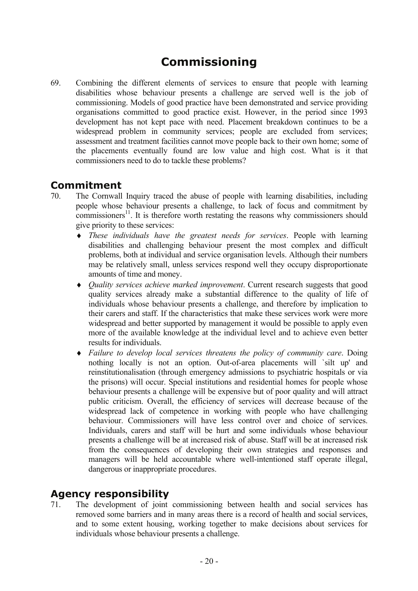# **Commissioning**

69. Combining the different elements of services to ensure that people with learning disabilities whose behaviour presents a challenge are served well is the job of commissioning. Models of good practice have been demonstrated and service providing organisations committed to good practice exist. However, in the period since 1993 development has not kept pace with need. Placement breakdown continues to be a widespread problem in community services; people are excluded from services; assessment and treatment facilities cannot move people back to their own home; some of the placements eventually found are low value and high cost. What is it that commissioners need to do to tackle these problems?

#### **Commitment**

- 70. The Cornwall Inquiry traced the abuse of people with learning disabilities, including people whose behaviour presents a challenge, to lack of focus and commitment by  $commissioners<sup>11</sup>$ . It is therefore worth restating the reasons why commissioners should give priority to these services:
	- ♦ *These individuals have the greatest needs for services*. People with learning disabilities and challenging behaviour present the most complex and difficult problems, both at individual and service organisation levels. Although their numbers may be relatively small, unless services respond well they occupy disproportionate amounts of time and money.
	- ♦ *Quality services achieve marked improvement*. Current research suggests that good quality services already make a substantial difference to the quality of life of individuals whose behaviour presents a challenge, and therefore by implication to their carers and staff. If the characteristics that make these services work were more widespread and better supported by management it would be possible to apply even more of the available knowledge at the individual level and to achieve even better results for individuals.
	- ♦ *Failure to develop local services threatens the policy of community care*. Doing nothing locally is not an option. Out-of-area placements will `silt up' and reinstitutionalisation (through emergency admissions to psychiatric hospitals or via the prisons) will occur. Special institutions and residential homes for people whose behaviour presents a challenge will be expensive but of poor quality and will attract public criticism. Overall, the efficiency of services will decrease because of the widespread lack of competence in working with people who have challenging behaviour. Commissioners will have less control over and choice of services. Individuals, carers and staff will be hurt and some individuals whose behaviour presents a challenge will be at increased risk of abuse. Staff will be at increased risk from the consequences of developing their own strategies and responses and managers will be held accountable where well-intentioned staff operate illegal, dangerous or inappropriate procedures.

#### **Agency responsibility**

71. The development of joint commissioning between health and social services has removed some barriers and in many areas there is a record of health and social services, and to some extent housing, working together to make decisions about services for individuals whose behaviour presents a challenge.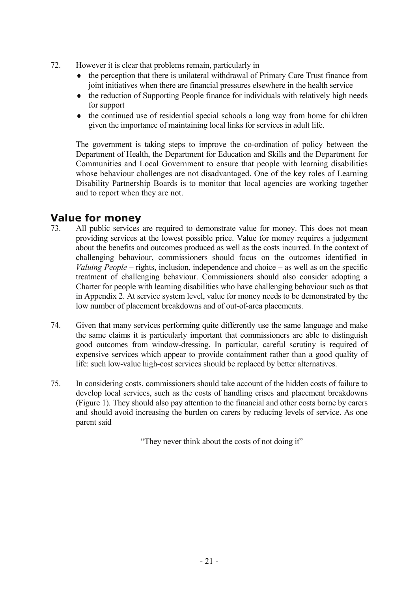- 72. However it is clear that problems remain, particularly in
	- ♦ the perception that there is unilateral withdrawal of Primary Care Trust finance from joint initiatives when there are financial pressures elsewhere in the health service
	- ♦ the reduction of Supporting People finance for individuals with relatively high needs for support
	- $\bullet$  the continued use of residential special schools a long way from home for children given the importance of maintaining local links for services in adult life.

The government is taking steps to improve the co-ordination of policy between the Department of Health, the Department for Education and Skills and the Department for Communities and Local Government to ensure that people with learning disabilities whose behaviour challenges are not disadvantaged. One of the key roles of Learning Disability Partnership Boards is to monitor that local agencies are working together and to report when they are not.

### **Value for money**

- 73. All public services are required to demonstrate value for money. This does not mean providing services at the lowest possible price. Value for money requires a judgement about the benefits and outcomes produced as well as the costs incurred. In the context of challenging behaviour, commissioners should focus on the outcomes identified in *Valuing People* – rights, inclusion, independence and choice – as well as on the specific treatment of challenging behaviour. Commissioners should also consider adopting a Charter for people with learning disabilities who have challenging behaviour such as that in Appendix 2. At service system level, value for money needs to be demonstrated by the low number of placement breakdowns and of out-of-area placements.
- 74. Given that many services performing quite differently use the same language and make the same claims it is particularly important that commissioners are able to distinguish good outcomes from window-dressing. In particular, careful scrutiny is required of expensive services which appear to provide containment rather than a good quality of life: such low-value high-cost services should be replaced by better alternatives.
- 75. In considering costs, commissioners should take account of the hidden costs of failure to develop local services, such as the costs of handling crises and placement breakdowns (Figure 1). They should also pay attention to the financial and other costs borne by carers and should avoid increasing the burden on carers by reducing levels of service. As one parent said

"They never think about the costs of not doing it"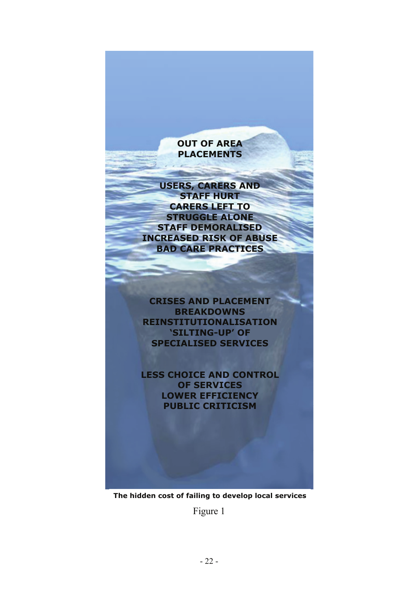#### **OUT OF AREA PLACEMENTS**

**USERS, CARERS AND STAFF HURT CARERS LEFT TO STRUGGLE ALONE STAFF DEMORALISED INCREASED RISK OF ABUSE BAD CARE PRACTICES** 

**CRISES AND PLACEMENT BREAKDOWNS REINSTITUTIONALISATION 'SILTING-UP' OF SPECIALISED SERVICES** 

**LESS CHOICE AND CONTROL OF SERVICES LOWER EFFICIENCY PUBLIC CRITICISM** 

**The hidden cost of failing to develop local services** 

Figure 1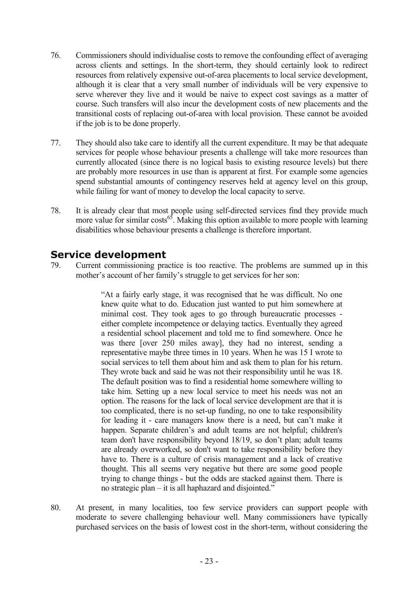- 76. Commissioners should individualise costs to remove the confounding effect of averaging across clients and settings. In the short-term, they should certainly look to redirect resources from relatively expensive out-of-area placements to local service development, although it is clear that a very small number of individuals will be very expensive to serve wherever they live and it would be naive to expect cost savings as a matter of course. Such transfers will also incur the development costs of new placements and the transitional costs of replacing out-of-area with local provision. These cannot be avoided if the job is to be done properly.
- 77. They should also take care to identify all the current expenditure. It may be that adequate services for people whose behaviour presents a challenge will take more resources than currently allocated (since there is no logical basis to existing resource levels) but there are probably more resources in use than is apparent at first. For example some agencies spend substantial amounts of contingency reserves held at agency level on this group, while failing for want of money to develop the local capacity to serve.
- 78. It is already clear that most people using self-directed services find they provide much more value for similar costs<sup>65</sup>. Making this option available to more people with learning disabilities whose behaviour presents a challenge is therefore important.

### **Service development**

79. Current commissioning practice is too reactive. The problems are summed up in this mother's account of her family's struggle to get services for her son:

> "At a fairly early stage, it was recognised that he was difficult. No one knew quite what to do. Education just wanted to put him somewhere at minimal cost. They took ages to go through bureaucratic processes either complete incompetence or delaying tactics. Eventually they agreed a residential school placement and told me to find somewhere. Once he was there [over 250 miles away], they had no interest, sending a representative maybe three times in 10 years. When he was 15 I wrote to social services to tell them about him and ask them to plan for his return. They wrote back and said he was not their responsibility until he was 18. The default position was to find a residential home somewhere willing to take him. Setting up a new local service to meet his needs was not an option. The reasons for the lack of local service development are that it is too complicated, there is no set-up funding, no one to take responsibility for leading it - care managers know there is a need, but can't make it happen. Separate children's and adult teams are not helpful; children's team don't have responsibility beyond 18/19, so don't plan; adult teams are already overworked, so don't want to take responsibility before they have to. There is a culture of crisis management and a lack of creative thought. This all seems very negative but there are some good people trying to change things - but the odds are stacked against them. There is no strategic plan – it is all haphazard and disjointed."

80. At present, in many localities, too few service providers can support people with moderate to severe challenging behaviour well. Many commissioners have typically purchased services on the basis of lowest cost in the short-term, without considering the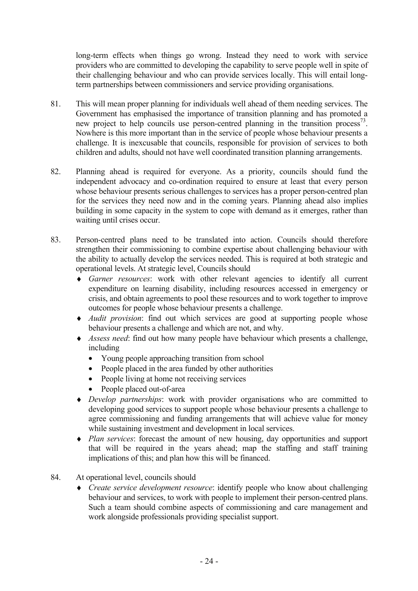long-term effects when things go wrong. Instead they need to work with service providers who are committed to developing the capability to serve people well in spite of their challenging behaviour and who can provide services locally. This will entail longterm partnerships between commissioners and service providing organisations.

- 81. This will mean proper planning for individuals well ahead of them needing services. The Government has emphasised the importance of transition planning and has promoted a new project to help councils use person-centred planning in the transition process<sup>73</sup>. Nowhere is this more important than in the service of people whose behaviour presents a challenge. It is inexcusable that councils, responsible for provision of services to both children and adults, should not have well coordinated transition planning arrangements.
- 82. Planning ahead is required for everyone. As a priority, councils should fund the independent advocacy and co-ordination required to ensure at least that every person whose behaviour presents serious challenges to services has a proper person-centred plan for the services they need now and in the coming years. Planning ahead also implies building in some capacity in the system to cope with demand as it emerges, rather than waiting until crises occur.
- 83. Person-centred plans need to be translated into action. Councils should therefore strengthen their commissioning to combine expertise about challenging behaviour with the ability to actually develop the services needed. This is required at both strategic and operational levels. At strategic level, Councils should
	- ♦ *Garner resources*: work with other relevant agencies to identify all current expenditure on learning disability, including resources accessed in emergency or crisis, and obtain agreements to pool these resources and to work together to improve outcomes for people whose behaviour presents a challenge.
	- ♦ *Audit provision*: find out which services are good at supporting people whose behaviour presents a challenge and which are not, and why.
	- ♦ *Assess need*: find out how many people have behaviour which presents a challenge, including
		- Young people approaching transition from school
		- People placed in the area funded by other authorities
		- People living at home not receiving services
		- People placed out-of-area
	- ♦ *Develop partnerships*: work with provider organisations who are committed to developing good services to support people whose behaviour presents a challenge to agree commissioning and funding arrangements that will achieve value for money while sustaining investment and development in local services.
	- ♦ *Plan services*: forecast the amount of new housing, day opportunities and support that will be required in the years ahead; map the staffing and staff training implications of this; and plan how this will be financed.
- 84. At operational level, councils should
	- ♦ *Create service development resource*: identify people who know about challenging behaviour and services, to work with people to implement their person-centred plans. Such a team should combine aspects of commissioning and care management and work alongside professionals providing specialist support.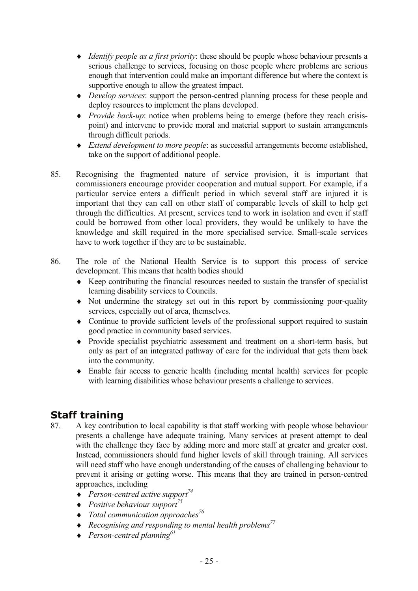- ♦ *Identify people as a first priority*: these should be people whose behaviour presents a serious challenge to services, focusing on those people where problems are serious enough that intervention could make an important difference but where the context is supportive enough to allow the greatest impact.
- ♦ *Develop services*: support the person-centred planning process for these people and deploy resources to implement the plans developed.
- ♦ *Provide back-up*: notice when problems being to emerge (before they reach crisispoint) and intervene to provide moral and material support to sustain arrangements through difficult periods.
- ♦ *Extend development to more people*: as successful arrangements become established, take on the support of additional people.
- 85. Recognising the fragmented nature of service provision, it is important that commissioners encourage provider cooperation and mutual support. For example, if a particular service enters a difficult period in which several staff are injured it is important that they can call on other staff of comparable levels of skill to help get through the difficulties. At present, services tend to work in isolation and even if staff could be borrowed from other local providers, they would be unlikely to have the knowledge and skill required in the more specialised service. Small-scale services have to work together if they are to be sustainable.
- 86. The role of the National Health Service is to support this process of service development. This means that health bodies should
	- ♦ Keep contributing the financial resources needed to sustain the transfer of specialist learning disability services to Councils.
	- ♦ Not undermine the strategy set out in this report by commissioning poor-quality services, especially out of area, themselves.
	- ♦ Continue to provide sufficient levels of the professional support required to sustain good practice in community based services.
	- ♦ Provide specialist psychiatric assessment and treatment on a short-term basis, but only as part of an integrated pathway of care for the individual that gets them back into the community.
	- ♦ Enable fair access to generic health (including mental health) services for people with learning disabilities whose behaviour presents a challenge to services.

### **Staff training**

- 87. A key contribution to local capability is that staff working with people whose behaviour presents a challenge have adequate training. Many services at present attempt to deal with the challenge they face by adding more and more staff at greater and greater cost. Instead, commissioners should fund higher levels of skill through training. All services will need staff who have enough understanding of the causes of challenging behaviour to prevent it arising or getting worse. This means that they are trained in person-centred approaches, including
	- $\triangle$  *Person-centred active support*<sup>74</sup>
	- ♦ *Positive behaviour support75*
	- ♦ *Total communication approaches76*
	- ♦ *Recognising and responding to mental health problems77*
	- ♦ *Person-centred planning61*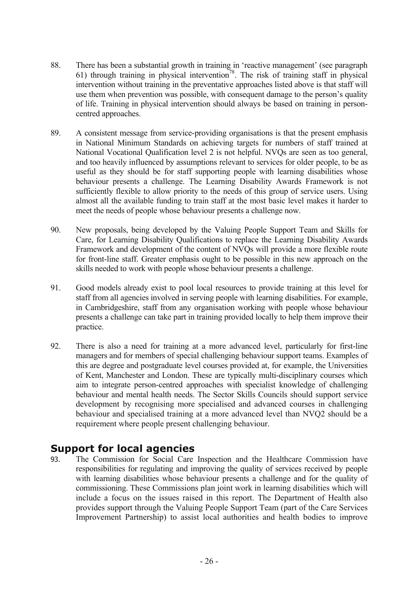- 88. There has been a substantial growth in training in 'reactive management' (see paragraph 61) through training in physical intervention<sup>78</sup>. The risk of training staff in physical intervention without training in the preventative approaches listed above is that staff will use them when prevention was possible, with consequent damage to the person's quality of life. Training in physical intervention should always be based on training in personcentred approaches.
- 89. A consistent message from service-providing organisations is that the present emphasis in National Minimum Standards on achieving targets for numbers of staff trained at National Vocational Qualification level 2 is not helpful. NVQs are seen as too general, and too heavily influenced by assumptions relevant to services for older people, to be as useful as they should be for staff supporting people with learning disabilities whose behaviour presents a challenge. The Learning Disability Awards Framework is not sufficiently flexible to allow priority to the needs of this group of service users. Using almost all the available funding to train staff at the most basic level makes it harder to meet the needs of people whose behaviour presents a challenge now.
- 90. New proposals, being developed by the Valuing People Support Team and Skills for Care, for Learning Disability Qualifications to replace the Learning Disability Awards Framework and development of the content of NVQs will provide a more flexible route for front-line staff. Greater emphasis ought to be possible in this new approach on the skills needed to work with people whose behaviour presents a challenge.
- 91. Good models already exist to pool local resources to provide training at this level for staff from all agencies involved in serving people with learning disabilities. For example, in Cambridgeshire, staff from any organisation working with people whose behaviour presents a challenge can take part in training provided locally to help them improve their practice.
- 92. There is also a need for training at a more advanced level, particularly for first-line managers and for members of special challenging behaviour support teams. Examples of this are degree and postgraduate level courses provided at, for example, the Universities of Kent, Manchester and London. These are typically multi-disciplinary courses which aim to integrate person-centred approaches with specialist knowledge of challenging behaviour and mental health needs. The Sector Skills Councils should support service development by recognising more specialised and advanced courses in challenging behaviour and specialised training at a more advanced level than NVQ2 should be a requirement where people present challenging behaviour.

### **Support for local agencies**

93. The Commission for Social Care Inspection and the Healthcare Commission have responsibilities for regulating and improving the quality of services received by people with learning disabilities whose behaviour presents a challenge and for the quality of commissioning. These Commissions plan joint work in learning disabilities which will include a focus on the issues raised in this report. The Department of Health also provides support through the Valuing People Support Team (part of the Care Services Improvement Partnership) to assist local authorities and health bodies to improve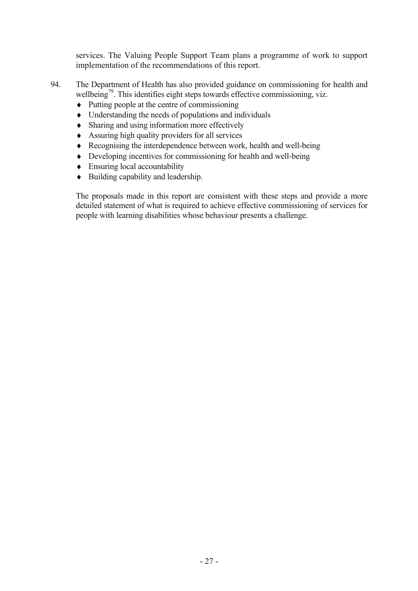services. The Valuing People Support Team plans a programme of work to support implementation of the recommendations of this report.

- 94. The Department of Health has also provided guidance on commissioning for health and wellbeing<sup>79</sup>. This identifies eight steps towards effective commissioning, viz.
	- $\triangle$  Putting people at the centre of commissioning
	- ♦ Understanding the needs of populations and individuals
	- ♦ Sharing and using information more effectively
	- ♦ Assuring high quality providers for all services
	- ♦ Recognising the interdependence between work, health and well-being
	- ♦ Developing incentives for commissioning for health and well-being
	- $\triangle$  Ensuring local accountability
	- ♦ Building capability and leadership.

The proposals made in this report are consistent with these steps and provide a more detailed statement of what is required to achieve effective commissioning of services for people with learning disabilities whose behaviour presents a challenge.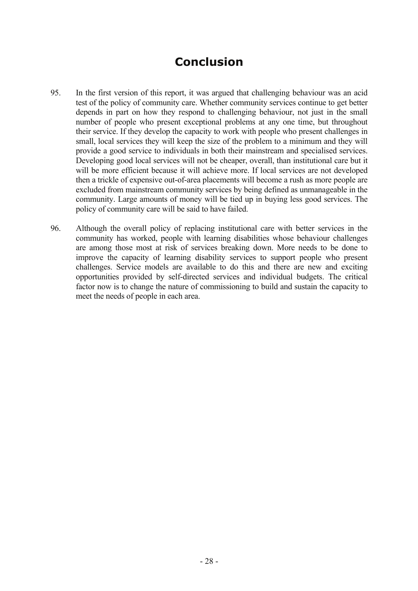# **Conclusion**

- 95. In the first version of this report, it was argued that challenging behaviour was an acid test of the policy of community care. Whether community services continue to get better depends in part on how they respond to challenging behaviour, not just in the small number of people who present exceptional problems at any one time, but throughout their service. If they develop the capacity to work with people who present challenges in small, local services they will keep the size of the problem to a minimum and they will provide a good service to individuals in both their mainstream and specialised services. Developing good local services will not be cheaper, overall, than institutional care but it will be more efficient because it will achieve more. If local services are not developed then a trickle of expensive out-of-area placements will become a rush as more people are excluded from mainstream community services by being defined as unmanageable in the community. Large amounts of money will be tied up in buying less good services. The policy of community care will be said to have failed.
- 96. Although the overall policy of replacing institutional care with better services in the community has worked, people with learning disabilities whose behaviour challenges are among those most at risk of services breaking down. More needs to be done to improve the capacity of learning disability services to support people who present challenges. Service models are available to do this and there are new and exciting opportunities provided by self-directed services and individual budgets. The critical factor now is to change the nature of commissioning to build and sustain the capacity to meet the needs of people in each area.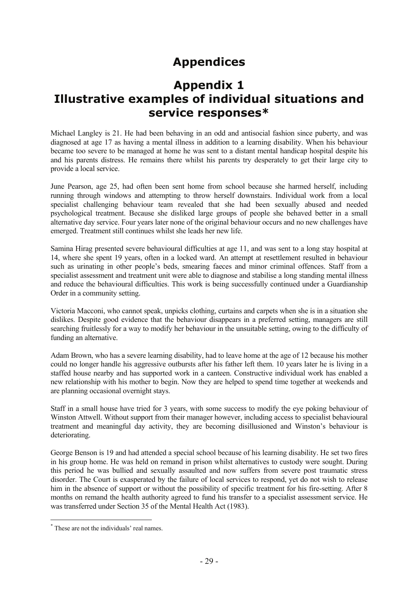# **Appendices**

### **Appendix 1 Illustrative examples of individual situations and service responses\***

Michael Langley is 21. He had been behaving in an odd and antisocial fashion since puberty, and was diagnosed at age 17 as having a mental illness in addition to a learning disability. When his behaviour became too severe to be managed at home he was sent to a distant mental handicap hospital despite his and his parents distress. He remains there whilst his parents try desperately to get their large city to provide a local service.

June Pearson, age 25, had often been sent home from school because she harmed herself, including running through windows and attempting to throw herself downstairs. Individual work from a local specialist challenging behaviour team revealed that she had been sexually abused and needed psychological treatment. Because she disliked large groups of people she behaved better in a small alternative day service. Four years later none of the original behaviour occurs and no new challenges have emerged. Treatment still continues whilst she leads her new life.

Samina Hirag presented severe behavioural difficulties at age 11, and was sent to a long stay hospital at 14, where she spent 19 years, often in a locked ward. An attempt at resettlement resulted in behaviour such as urinating in other people's beds, smearing faeces and minor criminal offences. Staff from a specialist assessment and treatment unit were able to diagnose and stabilise a long standing mental illness and reduce the behavioural difficulties. This work is being successfully continued under a Guardianship Order in a community setting.

Victoria Macconi, who cannot speak, unpicks clothing, curtains and carpets when she is in a situation she dislikes. Despite good evidence that the behaviour disappears in a preferred setting, managers are still searching fruitlessly for a way to modify her behaviour in the unsuitable setting, owing to the difficulty of funding an alternative.

Adam Brown, who has a severe learning disability, had to leave home at the age of 12 because his mother could no longer handle his aggressive outbursts after his father left them. 10 years later he is living in a staffed house nearby and has supported work in a canteen. Constructive individual work has enabled a new relationship with his mother to begin. Now they are helped to spend time together at weekends and are planning occasional overnight stays.

Staff in a small house have tried for 3 years, with some success to modify the eye poking behaviour of Winston Attwell. Without support from their manager however, including access to specialist behavioural treatment and meaningful day activity, they are becoming disillusioned and Winston's behaviour is deteriorating.

George Benson is 19 and had attended a special school because of his learning disability. He set two fires in his group home. He was held on remand in prison whilst alternatives to custody were sought. During this period he was bullied and sexually assaulted and now suffers from severe post traumatic stress disorder. The Court is exasperated by the failure of local services to respond, yet do not wish to release him in the absence of support or without the possibility of specific treatment for his fire-setting. After 8 months on remand the health authority agreed to fund his transfer to a specialist assessment service. He was transferred under Section 35 of the Mental Health Act (1983).

 $\overline{a}$ 

<sup>\*</sup> These are not the individuals' real names.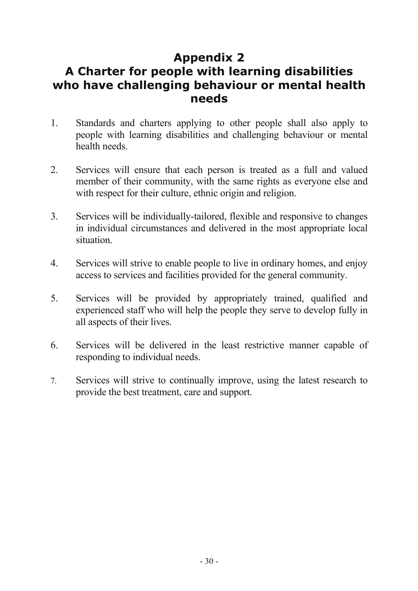# **Appendix 2 A Charter for people with learning disabilities who have challenging behaviour or mental health needs**

- 1. Standards and charters applying to other people shall also apply to people with learning disabilities and challenging behaviour or mental health needs.
- 2. Services will ensure that each person is treated as a full and valued member of their community, with the same rights as everyone else and with respect for their culture, ethnic origin and religion.
- 3. Services will be individually-tailored, flexible and responsive to changes in individual circumstances and delivered in the most appropriate local situation.
- 4. Services will strive to enable people to live in ordinary homes, and enjoy access to services and facilities provided for the general community.
- 5. Services will be provided by appropriately trained, qualified and experienced staff who will help the people they serve to develop fully in all aspects of their lives.
- 6. Services will be delivered in the least restrictive manner capable of responding to individual needs.
- 7. Services will strive to continually improve, using the latest research to provide the best treatment, care and support.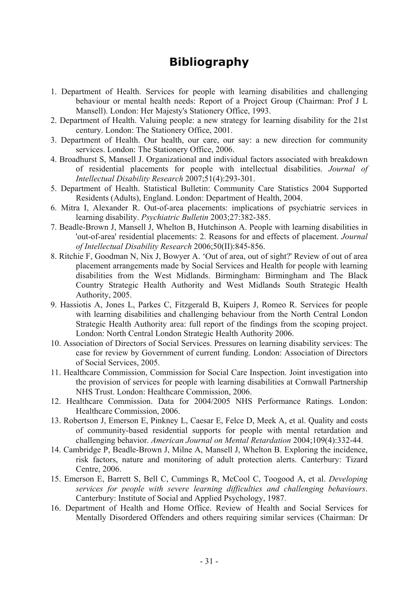# **Bibliography**

- 1. Department of Health. Services for people with learning disabilities and challenging behaviour or mental health needs: Report of a Project Group (Chairman: Prof J L Mansell). London: Her Majesty's Stationery Office, 1993.
- 2. Department of Health. Valuing people: a new strategy for learning disability for the 21st century. London: The Stationery Office, 2001.
- 3. Department of Health. Our health, our care, our say: a new direction for community services. London: The Stationery Office, 2006.
- 4. Broadhurst S, Mansell J. Organizational and individual factors associated with breakdown of residential placements for people with intellectual disabilities. *Journal of Intellectual Disability Research* 2007;51(4):293-301.
- 5. Department of Health. Statistical Bulletin: Community Care Statistics 2004 Supported Residents (Adults), England. London: Department of Health, 2004.
- 6. Mitra I, Alexander R. Out-of-area placements: implications of psychiatric services in learning disability. *Psychiatric Bulletin* 2003;27:382-385.
- 7. Beadle-Brown J, Mansell J, Whelton B, Hutchinson A. People with learning disabilities in 'out-of-area' residential placements: 2. Reasons for and effects of placement. *Journal of Intellectual Disability Research* 2006;50(II):845-856.
- 8. Ritchie F, Goodman N, Nix J, Bowyer A. 'Out of area, out of sight?' Review of out of area placement arrangements made by Social Services and Health for people with learning disabilities from the West Midlands. Birmingham: Birmingham and The Black Country Strategic Health Authority and West Midlands South Strategic Health Authority, 2005.
- 9. Hassiotis A, Jones L, Parkes C, Fitzgerald B, Kuipers J, Romeo R. Services for people with learning disabilities and challenging behaviour from the North Central London Strategic Health Authority area: full report of the findings from the scoping project. London: North Central London Strategic Health Authority 2006.
- 10. Association of Directors of Social Services. Pressures on learning disability services: The case for review by Government of current funding. London: Association of Directors of Social Services, 2005.
- 11. Healthcare Commission, Commission for Social Care Inspection. Joint investigation into the provision of services for people with learning disabilities at Cornwall Partnership NHS Trust. London: Healthcare Commission, 2006.
- 12. Healthcare Commission. Data for 2004/2005 NHS Performance Ratings. London: Healthcare Commission, 2006.
- 13. Robertson J, Emerson E, Pinkney L, Caesar E, Felce D, Meek A, et al. Quality and costs of community-based residential supports for people with mental retardation and challenging behavior. *American Journal on Mental Retardation* 2004;109(4):332-44.
- 14. Cambridge P, Beadle-Brown J, Milne A, Mansell J, Whelton B. Exploring the incidence, risk factors, nature and monitoring of adult protection alerts. Canterbury: Tizard Centre, 2006.
- 15. Emerson E, Barrett S, Bell C, Cummings R, McCool C, Toogood A, et al. *Developing services for people with severe learning difficulties and challenging behaviours*. Canterbury: Institute of Social and Applied Psychology, 1987.
- 16. Department of Health and Home Office. Review of Health and Social Services for Mentally Disordered Offenders and others requiring similar services (Chairman: Dr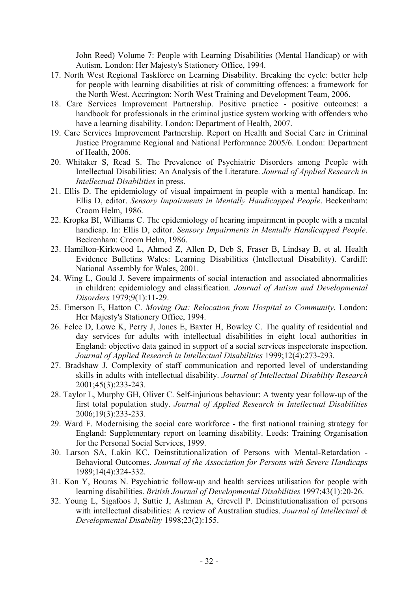John Reed) Volume 7: People with Learning Disabilities (Mental Handicap) or with Autism. London: Her Majesty's Stationery Office, 1994.

- 17. North West Regional Taskforce on Learning Disability. Breaking the cycle: better help for people with learning disabilities at risk of committing offences: a framework for the North West. Accrington: North West Training and Development Team, 2006.
- 18. Care Services Improvement Partnership. Positive practice positive outcomes: a handbook for professionals in the criminal justice system working with offenders who have a learning disability. London: Department of Health, 2007.
- 19. Care Services Improvement Partnership. Report on Health and Social Care in Criminal Justice Programme Regional and National Performance 2005/6. London: Department of Health, 2006.
- 20. Whitaker S, Read S. The Prevalence of Psychiatric Disorders among People with Intellectual Disabilities: An Analysis of the Literature. *Journal of Applied Research in Intellectual Disabilities* in press.
- 21. Ellis D. The epidemiology of visual impairment in people with a mental handicap. In: Ellis D, editor. *Sensory Impairments in Mentally Handicapped People*. Beckenham: Croom Helm, 1986.
- 22. Kropka BI, Williams C. The epidemiology of hearing impairment in people with a mental handicap. In: Ellis D, editor. *Sensory Impairments in Mentally Handicapped People*. Beckenham: Croom Helm, 1986.
- 23. Hamilton-Kirkwood L, Ahmed Z, Allen D, Deb S, Fraser B, Lindsay B, et al. Health Evidence Bulletins Wales: Learning Disabilities (Intellectual Disability). Cardiff: National Assembly for Wales, 2001.
- 24. Wing L, Gould J. Severe impairments of social interaction and associated abnormalities in children: epidemiology and classification. *Journal of Autism and Developmental Disorders* 1979;9(1):11-29.
- 25. Emerson E, Hatton C. *Moving Out: Relocation from Hospital to Community*. London: Her Majesty's Stationery Office, 1994.
- 26. Felce D, Lowe K, Perry J, Jones E, Baxter H, Bowley C. The quality of residential and day services for adults with intellectual disabilities in eight local authorities in England: objective data gained in support of a social services inspectorate inspection. *Journal of Applied Research in Intellectual Disabilities* 1999;12(4):273-293.
- 27. Bradshaw J. Complexity of staff communication and reported level of understanding skills in adults with intellectual disability. *Journal of Intellectual Disability Research* 2001;45(3):233-243.
- 28. Taylor L, Murphy GH, Oliver C. Self-injurious behaviour: A twenty year follow-up of the first total population study. *Journal of Applied Research in Intellectual Disabilities* 2006;19(3):233-233.
- 29. Ward F. Modernising the social care workforce the first national training strategy for England: Supplementary report on learning disability. Leeds: Training Organisation for the Personal Social Services, 1999.
- 30. Larson SA, Lakin KC. Deinstitutionalization of Persons with Mental-Retardation Behavioral Outcomes. *Journal of the Association for Persons with Severe Handicaps* 1989;14(4):324-332.
- 31. Kon Y, Bouras N. Psychiatric follow-up and health services utilisation for people with learning disabilities. *British Journal of Developmental Disabilities* 1997;43(1):20-26.
- 32. Young L, Sigafoos J, Suttie J, Ashman A, Grevell P. Deinstitutionalisation of persons with intellectual disabilities: A review of Australian studies. *Journal of Intellectual & Developmental Disability* 1998;23(2):155.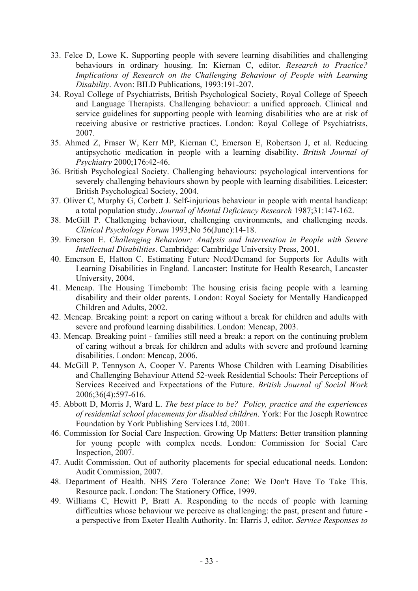- 33. Felce D, Lowe K. Supporting people with severe learning disabilities and challenging behaviours in ordinary housing. In: Kiernan C, editor. *Research to Practice? Implications of Research on the Challenging Behaviour of People with Learning Disability*. Avon: BILD Publications, 1993:191-207.
- 34. Royal College of Psychiatrists, British Psychological Society, Royal College of Speech and Language Therapists. Challenging behaviour: a unified approach. Clinical and service guidelines for supporting people with learning disabilities who are at risk of receiving abusive or restrictive practices. London: Royal College of Psychiatrists, 2007.
- 35. Ahmed Z, Fraser W, Kerr MP, Kiernan C, Emerson E, Robertson J, et al. Reducing antipsychotic medication in people with a learning disability. *British Journal of Psychiatry* 2000;176:42-46.
- 36. British Psychological Society. Challenging behaviours: psychological interventions for severely challenging behaviours shown by people with learning disabilities. Leicester: British Psychological Society, 2004.
- 37. Oliver C, Murphy G, Corbett J. Self-injurious behaviour in people with mental handicap: a total population study. *Journal of Mental Deficiency Research* 1987;31:147-162.
- 38. McGill P. Challenging behaviour, challenging environments, and challenging needs. *Clinical Psychology Forum* 1993;No 56(June):14-18.
- 39. Emerson E. *Challenging Behaviour: Analysis and Intervention in People with Severe Intellectual Disabilities*. Cambridge: Cambridge University Press, 2001.
- 40. Emerson E, Hatton C. Estimating Future Need/Demand for Supports for Adults with Learning Disabilities in England. Lancaster: Institute for Health Research, Lancaster University, 2004.
- 41. Mencap. The Housing Timebomb: The housing crisis facing people with a learning disability and their older parents. London: Royal Society for Mentally Handicapped Children and Adults, 2002.
- 42. Mencap. Breaking point: a report on caring without a break for children and adults with severe and profound learning disabilities. London: Mencap, 2003.
- 43. Mencap. Breaking point families still need a break: a report on the continuing problem of caring without a break for children and adults with severe and profound learning disabilities. London: Mencap, 2006.
- 44. McGill P, Tennyson A, Cooper V. Parents Whose Children with Learning Disabilities and Challenging Behaviour Attend 52-week Residential Schools: Their Perceptions of Services Received and Expectations of the Future. *British Journal of Social Work* 2006;36(4):597-616.
- 45. Abbott D, Morris J, Ward L. *The best place to be? Policy, practice and the experiences of residential school placements for disabled children*. York: For the Joseph Rowntree Foundation by York Publishing Services Ltd, 2001.
- 46. Commission for Social Care Inspection. Growing Up Matters: Better transition planning for young people with complex needs. London: Commission for Social Care Inspection, 2007.
- 47. Audit Commission. Out of authority placements for special educational needs. London: Audit Commission, 2007.
- 48. Department of Health. NHS Zero Tolerance Zone: We Don't Have To Take This. Resource pack. London: The Stationery Office, 1999.
- 49. Williams C, Hewitt P, Bratt A. Responding to the needs of people with learning difficulties whose behaviour we perceive as challenging: the past, present and future a perspective from Exeter Health Authority. In: Harris J, editor. *Service Responses to*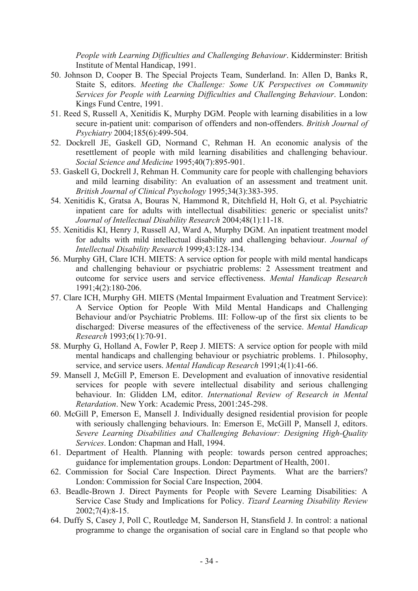*People with Learning Difficulties and Challenging Behaviour*. Kidderminster: British Institute of Mental Handicap, 1991.

- 50. Johnson D, Cooper B. The Special Projects Team, Sunderland. In: Allen D, Banks R, Staite S, editors. *Meeting the Challenge: Some UK Perspectives on Community Services for People with Learning Difficulties and Challenging Behaviour*. London: Kings Fund Centre, 1991.
- 51. Reed S, Russell A, Xenitidis K, Murphy DGM. People with learning disabilities in a low secure in-patient unit: comparison of offenders and non-offenders. *British Journal of Psychiatry* 2004;185(6):499-504.
- 52. Dockrell JE, Gaskell GD, Normand C, Rehman H. An economic analysis of the resettlement of people with mild learning disabilities and challenging behaviour. *Social Science and Medicine* 1995;40(7):895-901.
- 53. Gaskell G, Dockrell J, Rehman H. Community care for people with challenging behaviors and mild learning disability: An evaluation of an assessment and treatment unit. *British Journal of Clinical Psychology* 1995;34(3):383-395.
- 54. Xenitidis K, Gratsa A, Bouras N, Hammond R, Ditchfield H, Holt G, et al. Psychiatric inpatient care for adults with intellectual disabilities: generic or specialist units? *Journal of Intellectual Disability Research* 2004;48(1):11-18.
- 55. Xenitidis KI, Henry J, Russell AJ, Ward A, Murphy DGM. An inpatient treatment model for adults with mild intellectual disability and challenging behaviour. *Journal of Intellectual Disability Research* 1999;43:128-134.
- 56. Murphy GH, Clare ICH. MIETS: A service option for people with mild mental handicaps and challenging behaviour or psychiatric problems: 2 Assessment treatment and outcome for service users and service effectiveness. *Mental Handicap Research* 1991;4(2):180-206.
- 57. Clare ICH, Murphy GH. MIETS (Mental Impairment Evaluation and Treatment Service): A Service Option for People With Mild Mental Handicaps and Challenging Behaviour and/or Psychiatric Problems. III: Follow-up of the first six clients to be discharged: Diverse measures of the effectiveness of the service. *Mental Handicap Research* 1993;6(1):70-91.
- 58. Murphy G, Holland A, Fowler P, Reep J. MIETS: A service option for people with mild mental handicaps and challenging behaviour or psychiatric problems. 1. Philosophy, service, and service users. *Mental Handicap Research* 1991;4(1):41-66.
- 59. Mansell J, McGill P, Emerson E. Development and evaluation of innovative residential services for people with severe intellectual disability and serious challenging behaviour. In: Glidden LM, editor. *International Review of Research in Mental Retardation*. New York: Academic Press, 2001:245-298.
- 60. McGill P, Emerson E, Mansell J. Individually designed residential provision for people with seriously challenging behaviours. In: Emerson E, McGill P, Mansell J, editors. *Severe Learning Disabilities and Challenging Behaviour: Designing High-Quality Services*. London: Chapman and Hall, 1994.
- 61. Department of Health. Planning with people: towards person centred approaches; guidance for implementation groups. London: Department of Health, 2001.
- 62. Commission for Social Care Inspection. Direct Payments. What are the barriers? London: Commission for Social Care Inspection, 2004.
- 63. Beadle-Brown J. Direct Payments for People with Severe Learning Disabilities: A Service Case Study and Implications for Policy. *Tizard Learning Disability Review* 2002;7(4):8-15.
- 64. Duffy S, Casey J, Poll C, Routledge M, Sanderson H, Stansfield J. In control: a national programme to change the organisation of social care in England so that people who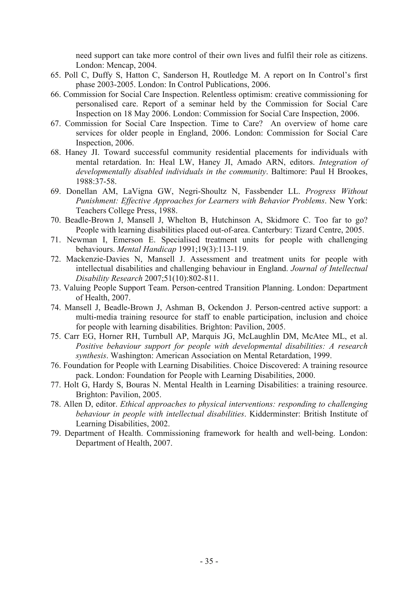need support can take more control of their own lives and fulfil their role as citizens. London: Mencap, 2004.

- 65. Poll C, Duffy S, Hatton C, Sanderson H, Routledge M. A report on In Control's first phase 2003-2005. London: In Control Publications, 2006.
- 66. Commission for Social Care Inspection. Relentless optimism: creative commissioning for personalised care. Report of a seminar held by the Commission for Social Care Inspection on 18 May 2006. London: Commission for Social Care Inspection, 2006.
- 67. Commission for Social Care Inspection. Time to Care? An overview of home care services for older people in England, 2006. London: Commission for Social Care Inspection, 2006.
- 68. Haney JI. Toward successful community residential placements for individuals with mental retardation. In: Heal LW, Haney JI, Amado ARN, editors. *Integration of developmentally disabled individuals in the community*. Baltimore: Paul H Brookes, 1988:37-58.
- 69. Donellan AM, LaVigna GW, Negri-Shoultz N, Fassbender LL. *Progress Without Punishment: Effective Approaches for Learners with Behavior Problems*. New York: Teachers College Press, 1988.
- 70. Beadle-Brown J, Mansell J, Whelton B, Hutchinson A, Skidmore C. Too far to go? People with learning disabilities placed out-of-area. Canterbury: Tizard Centre, 2005.
- 71. Newman I, Emerson E. Specialised treatment units for people with challenging behaviours. *Mental Handicap* 1991;19(3):113-119.
- 72. Mackenzie-Davies N, Mansell J. Assessment and treatment units for people with intellectual disabilities and challenging behaviour in England. *Journal of Intellectual Disability Research* 2007;51(10):802-811.
- 73. Valuing People Support Team. Person-centred Transition Planning. London: Department of Health, 2007.
- 74. Mansell J, Beadle-Brown J, Ashman B, Ockendon J. Person-centred active support: a multi-media training resource for staff to enable participation, inclusion and choice for people with learning disabilities. Brighton: Pavilion, 2005.
- 75. Carr EG, Horner RH, Turnbull AP, Marquis JG, McLaughlin DM, McAtee ML, et al. *Positive behaviour support for people with developmental disabilities: A research synthesis*. Washington: American Association on Mental Retardation, 1999.
- 76. Foundation for People with Learning Disabilities. Choice Discovered: A training resource pack. London: Foundation for People with Learning Disabilities, 2000.
- 77. Holt G, Hardy S, Bouras N. Mental Health in Learning Disabilities: a training resource. Brighton: Pavilion, 2005.
- 78. Allen D, editor. *Ethical approaches to physical interventions: responding to challenging behaviour in people with intellectual disabilities*. Kidderminster: British Institute of Learning Disabilities, 2002.
- 79. Department of Health. Commissioning framework for health and well-being. London: Department of Health, 2007.